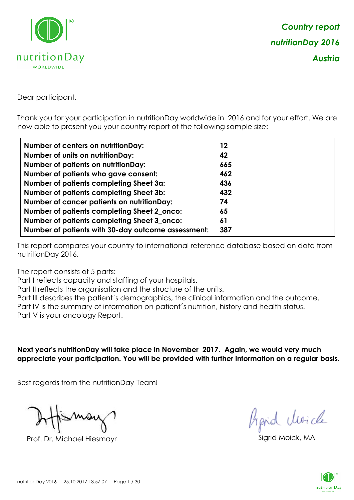

Dear participant,

Thank you for your participation in nutritionDay worldwide in 2016 and for your effort. We are now able to present you your country report of the following sample size:

| Number of centers on nutritionDay:                 | 12  |
|----------------------------------------------------|-----|
| <b>Number of units on nutrition Day:</b>           | 42  |
| <b>Number of patients on nutritionDay:</b>         | 665 |
| Number of patients who gave consent:               | 462 |
| Number of patients completing Sheet 3a:            | 436 |
| <b>Number of patients completing Sheet 3b:</b>     | 432 |
| <b>Number of cancer patients on nutritionDay:</b>  | 74  |
| Number of patients completing Sheet 2_onco:        | 65  |
| Number of patients completing Sheet 3_onco:        | 61  |
| Number of patients with 30-day outcome assessment: | 387 |

This report compares your country to international reference database based on data from nutritionDay 2016.

The report consists of 5 parts:

Part I reflects capacity and staffing of your hospitals.

Part II reflects the organisation and the structure of the units.

Part III describes the patient´s demographics, the clinical information and the outcome.

Part IV is the summary of information on patient´s nutrition, history and health status.

Part V is your oncology Report.

**Next year's nutritionDay will take place in November 2017. Again, we would very much appreciate your participation. You will be provided with further information on a regular basis.**

Best regards from the nutritionDay-Team!

Prof. Dr. Michael Hiesmayr Sigrid Moick, MA

*Prpid cluricle* 

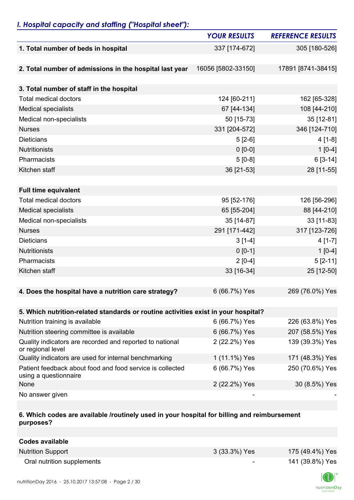# *I. Hospital capacity and staffing ("Hospital sheet"):*

|                                                                                    | <b>YOUR RESULTS</b> | <b>REFERENCE RESULTS</b> |
|------------------------------------------------------------------------------------|---------------------|--------------------------|
| 1. Total number of beds in hospital                                                | 337 [174-672]       | 305 [180-526]            |
|                                                                                    |                     |                          |
| 2. Total number of admissions in the hospital last year                            | 16056 [5802-33150]  | 17891 [8741-38415]       |
|                                                                                    |                     |                          |
| 3. Total number of staff in the hospital                                           |                     |                          |
| <b>Total medical doctors</b>                                                       | 124 [60-211]        | 162 [65-328]             |
| <b>Medical specialists</b>                                                         | 67 [44-134]         | 108 [44-210]             |
| Medical non-specialists                                                            | 50 [15-73]          | 35 [12-81]               |
| <b>Nurses</b>                                                                      | 331 [204-572]       | 346 [124-710]            |
| <b>Dieticians</b>                                                                  | $5[2-6]$            | $4[1-8]$                 |
| <b>Nutritionists</b>                                                               | $0 [0-0]$           | $1[0-4]$                 |
| Pharmacists                                                                        | $5[0-8]$            | $6[3-14]$                |
| Kitchen staff                                                                      | 36 [21-53]          | 28 [11-55]               |
|                                                                                    |                     |                          |
| <b>Full time equivalent</b>                                                        |                     |                          |
| <b>Total medical doctors</b>                                                       | 95 [52-176]         | 126 [56-296]             |
| <b>Medical specialists</b>                                                         | 65 [55-204]         | 88 [44-210]              |
| Medical non-specialists                                                            | 35 [14-87]          | 33 [11-83]               |
| <b>Nurses</b>                                                                      | 291 [171-442]       | 317 [123-726]            |
| <b>Dieticians</b>                                                                  | $3[1-4]$            | $4[1-7]$                 |
| <b>Nutritionists</b>                                                               | $0 [0-1]$           | $1[0-4]$                 |
| Pharmacists                                                                        | $2[0-4]$            | $5[2-11]$                |
| Kitchen staff                                                                      | 33 [16-34]          | 25 [12-50]               |
|                                                                                    |                     |                          |
| 4. Does the hospital have a nutrition care strategy?                               | 6 (66.7%) Yes       | 269 (76.0%) Yes          |
|                                                                                    |                     |                          |
| 5. Which nutrition-related standards or routine activities exist in your hospital? |                     |                          |
| Nutrition training is available                                                    | 6 (66.7%) Yes       | 226 (63.8%) Yes          |
| Nutrition steering committee is available                                          | 6 (66.7%) Yes       | 207 (58.5%) Yes          |
| Quality indicators are recorded and reported to national<br>or regional level      | 2 (22.2%) Yes       | 139 (39.3%) Yes          |
| Quality indicators are used for internal benchmarking                              | 1 (11.1%) Yes       | 171 (48.3%) Yes          |
| Patient feedback about food and food service is collected<br>using a questionnaire | 6 (66.7%) Yes       | 250 (70.6%) Yes          |
| None                                                                               | 2 (22.2%) Yes       | 30 (8.5%) Yes            |
| No answer given                                                                    |                     |                          |

### **6. Which codes are available /routinely used in your hospital for billing and reimbursement purposes?**

| Codes available            |                          |                 |
|----------------------------|--------------------------|-----------------|
| <b>Nutrition Support</b>   | 3 (33.3%) Yes            | 175 (49.4%) Yes |
| Oral nutrition supplements | $\overline{\phantom{a}}$ | 141 (39.8%) Yes |

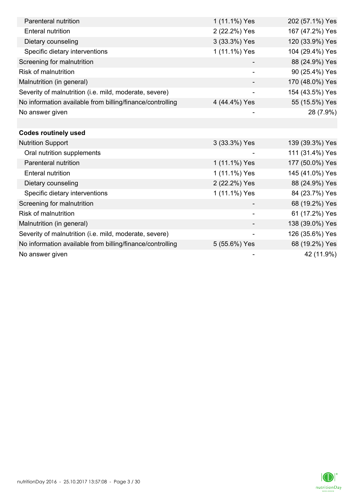| Parenteral nutrition                                      | 1 (11.1%) Yes | 202 (57.1%) Yes |
|-----------------------------------------------------------|---------------|-----------------|
| <b>Enteral nutrition</b>                                  | 2 (22.2%) Yes | 167 (47.2%) Yes |
| Dietary counseling                                        | 3 (33.3%) Yes | 120 (33.9%) Yes |
| Specific dietary interventions                            | 1 (11.1%) Yes | 104 (29.4%) Yes |
| Screening for malnutrition                                |               | 88 (24.9%) Yes  |
| <b>Risk of malnutrition</b>                               |               | 90 (25.4%) Yes  |
| Malnutrition (in general)                                 |               | 170 (48.0%) Yes |
| Severity of malnutrition (i.e. mild, moderate, severe)    |               | 154 (43.5%) Yes |
| No information available from billing/finance/controlling | 4 (44.4%) Yes | 55 (15.5%) Yes  |
| No answer given                                           |               | 28 (7.9%)       |
|                                                           |               |                 |
| <b>Codes routinely used</b>                               |               |                 |
| <b>Nutrition Support</b>                                  | 3 (33.3%) Yes | 139 (39.3%) Yes |
| Oral nutrition supplements                                |               | 111 (31.4%) Yes |
| Parenteral nutrition                                      | 1 (11.1%) Yes | 177 (50.0%) Yes |
| <b>Enteral nutrition</b>                                  | 1 (11.1%) Yes | 145 (41.0%) Yes |
| Dietary counseling                                        | 2 (22.2%) Yes | 88 (24.9%) Yes  |
| Specific dietary interventions                            | 1 (11.1%) Yes | 84 (23.7%) Yes  |
| Screening for malnutrition                                |               | 68 (19.2%) Yes  |
| <b>Risk of malnutrition</b>                               |               | 61 (17.2%) Yes  |
| Malnutrition (in general)                                 |               | 138 (39.0%) Yes |
| Severity of malnutrition (i.e. mild, moderate, severe)    | -             | 126 (35.6%) Yes |
| No information available from billing/finance/controlling | 5 (55.6%) Yes | 68 (19.2%) Yes  |
| No answer given                                           |               | 42 (11.9%)      |

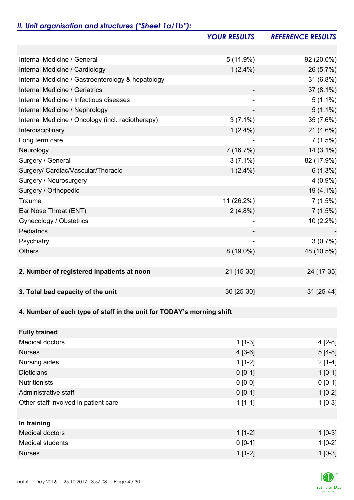# *II. Unit organisation and structures ("Sheet 1a/1b"):*

|                                                                       | <b>YOUR RESULTS</b> | <b>REFERENCE RESULTS</b> |
|-----------------------------------------------------------------------|---------------------|--------------------------|
|                                                                       |                     |                          |
| Internal Medicine / General                                           | $5(11.9\%)$         | 92 (20.0%)               |
| Internal Medicine / Cardiology                                        | $1(2.4\%)$          | 26 (5.7%)                |
| Internal Medicine / Gastroenterology & hepatology                     |                     | 31 (6.8%)                |
| Internal Medicine / Geriatrics                                        |                     | $37(8.1\%)$              |
| Internal Medicine / Infectious diseases                               |                     | $5(1.1\%)$               |
| Internal Medicine / Nephrology                                        |                     | $5(1.1\%)$               |
| Internal Medicine / Oncology (incl. radiotherapy)                     | $3(7.1\%)$          | 35 (7.6%)                |
| Interdisciplinary                                                     | $1(2.4\%)$          | $21(4.6\%)$              |
| Long term care                                                        |                     | 7(1.5%)                  |
| Neurology                                                             | 7(16.7%)            | $14(3.1\%)$              |
| Surgery / General                                                     | $3(7.1\%)$          | 82 (17.9%)               |
| Surgery/ Cardiac/Vascular/Thoracic                                    | $1(2.4\%)$          | $6(1.3\%)$               |
| Surgery / Neurosurgery                                                |                     | $4(0.9\%)$               |
| Surgery / Orthopedic                                                  |                     | 19 (4.1%)                |
| Trauma                                                                | 11 (26.2%)          | 7(1.5%)                  |
| Ear Nose Throat (ENT)                                                 | $2(4.8\%)$          | 7(1.5%)                  |
| Gynecology / Obstetrics                                               |                     | 10 (2.2%)                |
| Pediatrics                                                            |                     |                          |
| Psychiatry                                                            |                     | 3(0.7%)                  |
| <b>Others</b>                                                         | $8(19.0\%)$         | 48 (10.5%)               |
|                                                                       |                     |                          |
| 2. Number of registered inpatients at noon                            | 21 [15-30]          | 24 [17-35]               |
|                                                                       |                     |                          |
| 3. Total bed capacity of the unit                                     | 30 [25-30]          | 31 [25-44]               |
|                                                                       |                     |                          |
| 4. Number of each type of staff in the unit for TODAY's morning shift |                     |                          |
|                                                                       |                     |                          |
| <b>Fully trained</b>                                                  |                     |                          |
| <b>Medical doctors</b>                                                | $1[1-3]$            | $4[2-8]$                 |
| <b>Nurses</b>                                                         | $4[3-6]$            | $5[4-8]$                 |
| Nursing aides                                                         | $1[1-2]$            | $2[1-4]$                 |
| <b>Dieticians</b>                                                     | $0 [0-1]$           | $1 [0-1]$                |
| <b>Nutritionists</b>                                                  | $0 [0-0]$           | $0 [0-1]$                |
| Administrative staff                                                  | $0 [0-1]$           | $1[0-2]$                 |
| Other staff involved in patient care                                  | $1[1-1]$            | $1[0-3]$                 |
|                                                                       |                     |                          |
| In training                                                           |                     |                          |
| <b>Medical doctors</b>                                                | $1[1-2]$            | $1$ [0-3]                |
| <b>Medical students</b>                                               | $0 [0-1]$           | $1[0-2]$                 |
| <b>Nurses</b>                                                         | $1[1-2]$            | $1[0-3]$                 |

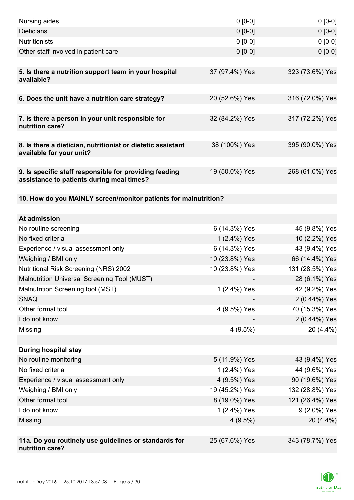| Nursing aides                                                                                       | $0 [0-0]$                     | $0[0-0]$                       |
|-----------------------------------------------------------------------------------------------------|-------------------------------|--------------------------------|
| <b>Dieticians</b>                                                                                   | $0 [0-0]$                     | $0[0-0]$                       |
| <b>Nutritionists</b>                                                                                | $0 [0-0]$                     | $0[0-0]$                       |
| Other staff involved in patient care                                                                | $0 [0-0]$                     | $0 [0-0]$                      |
|                                                                                                     |                               |                                |
| 5. Is there a nutrition support team in your hospital<br>available?                                 | 37 (97.4%) Yes                | 323 (73.6%) Yes                |
| 6. Does the unit have a nutrition care strategy?                                                    | 20 (52.6%) Yes                | 316 (72.0%) Yes                |
| 7. Is there a person in your unit responsible for<br>nutrition care?                                | 32 (84.2%) Yes                | 317 (72.2%) Yes                |
|                                                                                                     |                               |                                |
| 8. Is there a dietician, nutritionist or dietetic assistant<br>available for your unit?             | 38 (100%) Yes                 | 395 (90.0%) Yes                |
| 9. Is specific staff responsible for providing feeding<br>assistance to patients during meal times? | 19 (50.0%) Yes                | 268 (61.0%) Yes                |
| 10. How do you MAINLY screen/monitor patients for malnutrition?                                     |                               |                                |
|                                                                                                     |                               |                                |
| At admission                                                                                        |                               |                                |
| No routine screening<br>No fixed criteria                                                           | 6 (14.3%) Yes                 | 45 (9.8%) Yes                  |
| Experience / visual assessment only                                                                 | 1 (2.4%) Yes<br>6 (14.3%) Yes | 10 (2.2%) Yes<br>43 (9.4%) Yes |
| Weighing / BMI only                                                                                 | 10 (23.8%) Yes                | 66 (14.4%) Yes                 |
| <b>Nutritional Risk Screening (NRS) 2002</b>                                                        | 10 (23.8%) Yes                | 131 (28.5%) Yes                |
| Malnutrition Universal Screening Tool (MUST)                                                        |                               | 28 (6.1%) Yes                  |
| Malnutrition Screening tool (MST)                                                                   | 1 (2.4%) Yes                  | 42 (9.2%) Yes                  |
| <b>SNAQ</b>                                                                                         |                               | 2 (0.44%) Yes                  |
| Other formal tool                                                                                   | 4 (9.5%) Yes                  | 70 (15.3%) Yes                 |
| I do not know                                                                                       |                               | 2 (0.44%) Yes                  |
| Missing                                                                                             | 4(9.5%)                       | 20 (4.4%)                      |
|                                                                                                     |                               |                                |
| <b>During hospital stay</b>                                                                         |                               |                                |
| No routine monitoring                                                                               | 5 (11.9%) Yes                 | 43 (9.4%) Yes                  |
| No fixed criteria                                                                                   | 1 (2.4%) Yes                  | 44 (9.6%) Yes                  |
| Experience / visual assessment only                                                                 | 4 (9.5%) Yes                  | 90 (19.6%) Yes                 |
| Weighing / BMI only                                                                                 | 19 (45.2%) Yes                | 132 (28.8%) Yes                |
| Other formal tool                                                                                   | 8 (19.0%) Yes                 | 121 (26.4%) Yes                |
| I do not know                                                                                       | 1 (2.4%) Yes                  | 9 (2.0%) Yes                   |
| Missing                                                                                             | $4(9.5\%)$                    | 20 (4.4%)                      |
|                                                                                                     |                               |                                |
| 11a. Do you routinely use guidelines or standards for<br>nutrition care?                            | 25 (67.6%) Yes                | 343 (78.7%) Yes                |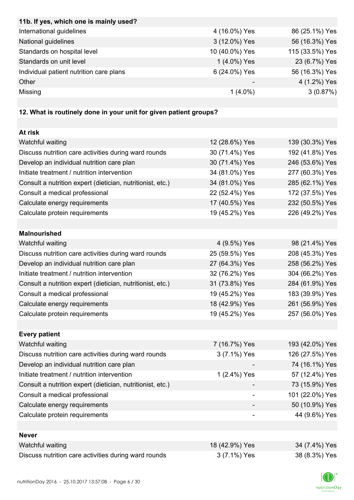| 11b. If yes, which one is mainly used?                            |                          |                 |
|-------------------------------------------------------------------|--------------------------|-----------------|
| International guidelines                                          | 4 (16.0%) Yes            | 86 (25.1%) Yes  |
| National guidelines                                               | 3 (12.0%) Yes            | 56 (16.3%) Yes  |
| Standards on hospital level                                       | 10 (40.0%) Yes           | 115 (33.5%) Yes |
| Standards on unit level                                           | 1 (4.0%) Yes             | 23 (6.7%) Yes   |
| Individual patient nutrition care plans                           | 6 (24.0%) Yes            | 56 (16.3%) Yes  |
| Other                                                             |                          | 4 (1.2%) Yes    |
| Missing                                                           | $1(4.0\%)$               | 3(0.87%)        |
|                                                                   |                          |                 |
| 12. What is routinely done in your unit for given patient groups? |                          |                 |
|                                                                   |                          |                 |
| At risk                                                           |                          |                 |
| Watchful waiting                                                  | 12 (28.6%) Yes           | 139 (30.3%) Yes |
| Discuss nutrition care activities during ward rounds              | 30 (71.4%) Yes           | 192 (41.8%) Yes |
| Develop an individual nutrition care plan                         | 30 (71.4%) Yes           | 246 (53.6%) Yes |
| Initiate treatment / nutrition intervention                       | 34 (81.0%) Yes           | 277 (60.3%) Yes |
| Consult a nutrition expert (dietician, nutritionist, etc.)        | 34 (81.0%) Yes           | 285 (62.1%) Yes |
| Consult a medical professional                                    | 22 (52.4%) Yes           | 172 (37.5%) Yes |
| Calculate energy requirements                                     | 17 (40.5%) Yes           | 232 (50.5%) Yes |
| Calculate protein requirements                                    | 19 (45.2%) Yes           | 226 (49.2%) Yes |
|                                                                   |                          |                 |
| <b>Malnourished</b>                                               |                          |                 |
| Watchful waiting                                                  | 4 (9.5%) Yes             | 98 (21.4%) Yes  |
| Discuss nutrition care activities during ward rounds              | 25 (59.5%) Yes           | 208 (45.3%) Yes |
| Develop an individual nutrition care plan                         | 27 (64.3%) Yes           | 258 (56.2%) Yes |
| Initiate treatment / nutrition intervention                       | 32 (76.2%) Yes           | 304 (66.2%) Yes |
| Consult a nutrition expert (dietician, nutritionist, etc.)        | 31 (73.8%) Yes           | 284 (61.9%) Yes |
| Consult a medical professional                                    | 19 (45.2%) Yes           | 183 (39.9%) Yes |
| Calculate energy requirements                                     | 18 (42.9%) Yes           | 261 (56.9%) Yes |
| Calculate protein requirements                                    | 19 (45.2%) Yes           | 257 (56.0%) Yes |
|                                                                   |                          |                 |
| <b>Every patient</b>                                              |                          |                 |
| Watchful waiting                                                  | 7 (16.7%) Yes            | 193 (42.0%) Yes |
| Discuss nutrition care activities during ward rounds              | 3 (7.1%) Yes             | 126 (27.5%) Yes |
| Develop an individual nutrition care plan                         |                          | 74 (16.1%) Yes  |
| Initiate treatment / nutrition intervention                       | 1 (2.4%) Yes             | 57 (12.4%) Yes  |
| Consult a nutrition expert (dietician, nutritionist, etc.)        |                          | 73 (15.9%) Yes  |
| Consult a medical professional                                    | $\overline{\phantom{a}}$ | 101 (22.0%) Yes |
| Calculate energy requirements                                     |                          | 50 (10.9%) Yes  |
| Calculate protein requirements                                    |                          | 44 (9.6%) Yes   |
|                                                                   |                          |                 |
| <b>Never</b>                                                      |                          |                 |
| Watchful waiting                                                  | 18 (42.9%) Yes           | 34 (7.4%) Yes   |
| Discuss nutrition care activities during ward rounds              | 3 (7.1%) Yes             | 38 (8.3%) Yes   |

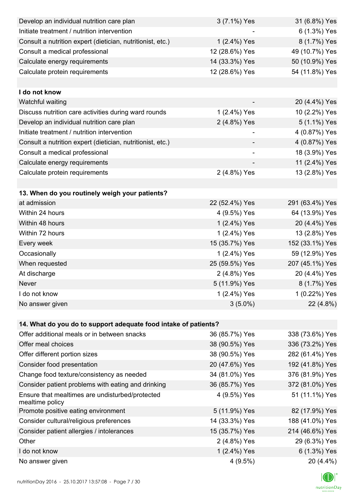| Develop an individual nutrition care plan                          | 3 (7.1%) Yes   | 31 (6.8%) Yes   |
|--------------------------------------------------------------------|----------------|-----------------|
| Initiate treatment / nutrition intervention                        |                | 6 (1.3%) Yes    |
| Consult a nutrition expert (dietician, nutritionist, etc.)         | 1 (2.4%) Yes   | 8 (1.7%) Yes    |
| Consult a medical professional                                     | 12 (28.6%) Yes | 49 (10.7%) Yes  |
| Calculate energy requirements                                      | 14 (33.3%) Yes | 50 (10.9%) Yes  |
| Calculate protein requirements                                     | 12 (28.6%) Yes | 54 (11.8%) Yes  |
|                                                                    |                |                 |
| I do not know                                                      |                |                 |
| Watchful waiting                                                   |                | 20 (4.4%) Yes   |
| Discuss nutrition care activities during ward rounds               | 1 (2.4%) Yes   | 10 (2.2%) Yes   |
| Develop an individual nutrition care plan                          | 2 (4.8%) Yes   | 5 (1.1%) Yes    |
| Initiate treatment / nutrition intervention                        |                | 4 (0.87%) Yes   |
| Consult a nutrition expert (dietician, nutritionist, etc.)         |                | 4 (0.87%) Yes   |
| Consult a medical professional                                     |                | 18 (3.9%) Yes   |
| Calculate energy requirements                                      |                | 11 (2.4%) Yes   |
| Calculate protein requirements                                     | 2 (4.8%) Yes   | 13 (2.8%) Yes   |
|                                                                    |                |                 |
| 13. When do you routinely weigh your patients?                     |                |                 |
| at admission                                                       | 22 (52.4%) Yes | 291 (63.4%) Yes |
| Within 24 hours                                                    | 4 (9.5%) Yes   | 64 (13.9%) Yes  |
| Within 48 hours                                                    | 1 (2.4%) Yes   | 20 (4.4%) Yes   |
| Within 72 hours                                                    | 1 (2.4%) Yes   | 13 (2.8%) Yes   |
| Every week                                                         | 15 (35.7%) Yes | 152 (33.1%) Yes |
| Occasionally                                                       | 1 (2.4%) Yes   | 59 (12.9%) Yes  |
| When requested                                                     | 25 (59.5%) Yes | 207 (45.1%) Yes |
| At discharge                                                       | 2 (4.8%) Yes   | 20 (4.4%) Yes   |
| Never                                                              | 5 (11.9%) Yes  | 8 (1.7%) Yes    |
| I do not know                                                      | 1 (2.4%) Yes   | 1 (0.22%) Yes   |
| No answer given                                                    | $3(5.0\%)$     | 22 (4.8%)       |
|                                                                    |                |                 |
| 14. What do you do to support adequate food intake of patients?    |                |                 |
| Offer additional meals or in between snacks                        | 36 (85.7%) Yes | 338 (73.6%) Yes |
| Offer meal choices                                                 | 38 (90.5%) Yes | 336 (73.2%) Yes |
| Offer different portion sizes                                      | 38 (90.5%) Yes | 282 (61.4%) Yes |
| Consider food presentation                                         | 20 (47.6%) Yes | 192 (41.8%) Yes |
| Change food texture/consistency as needed                          | 34 (81.0%) Yes | 376 (81.9%) Yes |
| Consider patient problems with eating and drinking                 | 36 (85.7%) Yes | 372 (81.0%) Yes |
| Ensure that mealtimes are undisturbed/protected<br>mealtime policy | 4 (9.5%) Yes   | 51 (11.1%) Yes  |
| Promote positive eating environment                                | 5 (11.9%) Yes  | 82 (17.9%) Yes  |
| Consider cultural/religious preferences                            | 14 (33.3%) Yes | 188 (41.0%) Yes |
| Consider patient allergies / intolerances                          | 15 (35.7%) Yes | 214 (46.6%) Yes |
| Other                                                              | 2 (4.8%) Yes   | 29 (6.3%) Yes   |
| I do not know                                                      | 1 (2.4%) Yes   | 6 (1.3%) Yes    |
| No answer given                                                    | 4(9.5%)        | 20 (4.4%)       |

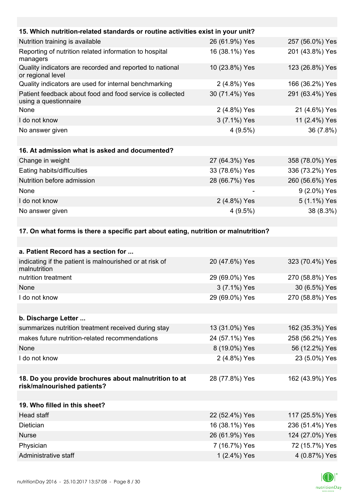| 15. Which nutrition-related standards or routine activities exist in your unit?     |                |                 |
|-------------------------------------------------------------------------------------|----------------|-----------------|
| Nutrition training is available                                                     | 26 (61.9%) Yes | 257 (56.0%) Yes |
| Reporting of nutrition related information to hospital<br>managers                  | 16 (38.1%) Yes | 201 (43.8%) Yes |
| Quality indicators are recorded and reported to national<br>or regional level       | 10 (23.8%) Yes | 123 (26.8%) Yes |
| Quality indicators are used for internal benchmarking                               | 2 (4.8%) Yes   | 166 (36.2%) Yes |
| Patient feedback about food and food service is collected<br>using a questionnaire  | 30 (71.4%) Yes | 291 (63.4%) Yes |
| None                                                                                | 2 (4.8%) Yes   | 21 (4.6%) Yes   |
| I do not know                                                                       | 3 (7.1%) Yes   | 11 (2.4%) Yes   |
| No answer given                                                                     | $4(9.5\%)$     | 36 (7.8%)       |
|                                                                                     |                |                 |
| 16. At admission what is asked and documented?                                      |                |                 |
| Change in weight                                                                    | 27 (64.3%) Yes | 358 (78.0%) Yes |
| Eating habits/difficulties                                                          | 33 (78.6%) Yes | 336 (73.2%) Yes |
| Nutrition before admission                                                          | 28 (66.7%) Yes | 260 (56.6%) Yes |
| None                                                                                |                | 9 (2.0%) Yes    |
| I do not know                                                                       | 2 (4.8%) Yes   | 5 (1.1%) Yes    |
| No answer given                                                                     | $4(9.5\%)$     | 38 (8.3%)       |
|                                                                                     |                |                 |
| 17. On what forms is there a specific part about eating, nutrition or malnutrition? |                |                 |
|                                                                                     |                |                 |
| a. Patient Record has a section for                                                 |                |                 |
| indicating if the patient is malnourished or at risk of<br>malnutrition             | 20 (47.6%) Yes | 323 (70.4%) Yes |

| <u>mulcaling in the patient is mainburished of at risk of</u><br>malnutrition        | $20(41.00)$ 1 $55$ | JZJ (1 U. <del>4</del> /0 J I <del>C</del> S |
|--------------------------------------------------------------------------------------|--------------------|----------------------------------------------|
| nutrition treatment                                                                  | 29 (69.0%) Yes     | 270 (58.8%) Yes                              |
| None                                                                                 | 3 (7.1%) Yes       | 30 (6.5%) Yes                                |
| I do not know                                                                        | 29 (69.0%) Yes     | 270 (58.8%) Yes                              |
|                                                                                      |                    |                                              |
| b. Discharge Letter                                                                  |                    |                                              |
| summarizes nutrition treatment received during stay                                  | 13 (31.0%) Yes     | 162 (35.3%) Yes                              |
| makes future nutrition-related recommendations                                       | 24 (57.1%) Yes     | 258 (56.2%) Yes                              |
| None                                                                                 | 8 (19.0%) Yes      | 56 (12.2%) Yes                               |
| I do not know                                                                        | 2 (4.8%) Yes       | 23 (5.0%) Yes                                |
|                                                                                      |                    |                                              |
| 18. Do you provide brochures about malnutrition to at<br>risk/malnourished patients? | 28 (77.8%) Yes     | 162 (43.9%) Yes                              |
|                                                                                      |                    |                                              |
| 19. Who filled in this sheet?                                                        |                    |                                              |
| Head staff                                                                           | 22 (52.4%) Yes     | 117 (25.5%) Yes                              |
| Dietician                                                                            | 16 (38.1%) Yes     | 236 (51.4%) Yes                              |
| <b>Nurse</b>                                                                         | 26 (61.9%) Yes     | 124 (27.0%) Yes                              |
| Physician                                                                            | 7 (16.7%) Yes      | 72 (15.7%) Yes                               |
| Administrative staff                                                                 | 1 (2.4%) Yes       | 4 (0.87%) Yes                                |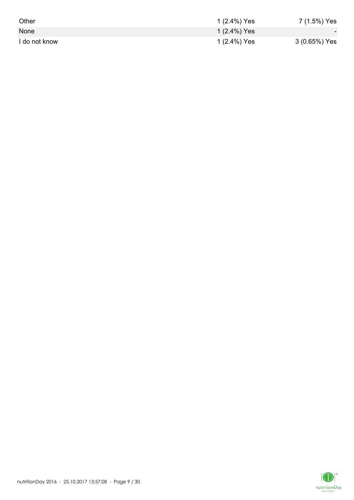| Other         | 1 (2.4%) Yes | 7 (1.5%) Yes  |
|---------------|--------------|---------------|
| None          | 1 (2.4%) Yes | $\sim$        |
| I do not know | 1 (2.4%) Yes | 3 (0.65%) Yes |

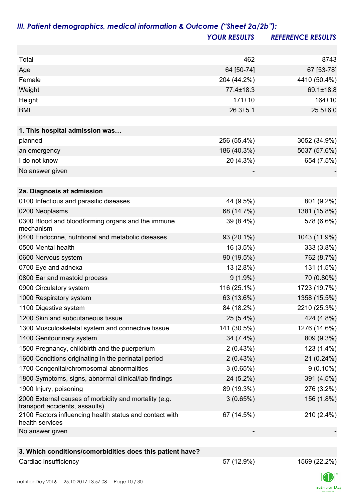|                                                                                         | <b>YOUR RESULTS</b> | <b>REFERENCE RESULTS</b> |
|-----------------------------------------------------------------------------------------|---------------------|--------------------------|
|                                                                                         |                     |                          |
| Total                                                                                   | 462                 | 8743                     |
| Age                                                                                     | 64 [50-74]          | 67 [53-78]               |
| Female                                                                                  | 204 (44.2%)         | 4410 (50.4%)             |
| Weight                                                                                  | $77.4 \pm 18.3$     | 69.1±18.8                |
| Height                                                                                  | 171±10              | 164±10                   |
| <b>BMI</b>                                                                              | $26.3 + 5.1$        | $25.5 \pm 6.0$           |
|                                                                                         |                     |                          |
| 1. This hospital admission was                                                          | 256 (55.4%)         |                          |
| planned                                                                                 |                     | 3052 (34.9%)             |
| an emergency                                                                            | 186 (40.3%)         | 5037 (57.6%)             |
| I do not know                                                                           | 20 (4.3%)           | 654 (7.5%)               |
| No answer given                                                                         |                     |                          |
| 2a. Diagnosis at admission                                                              |                     |                          |
| 0100 Infectious and parasitic diseases                                                  | 44 (9.5%)           | 801 (9.2%)               |
| 0200 Neoplasms                                                                          | 68 (14.7%)          | 1381 (15.8%)             |
| 0300 Blood and bloodforming organs and the immune<br>mechanism                          | 39 (8.4%)           | 578 (6.6%)               |
| 0400 Endocrine, nutritional and metabolic diseases                                      | 93 (20.1%)          | 1043 (11.9%)             |
| 0500 Mental health                                                                      | 16 (3.5%)           | 333 (3.8%)               |
| 0600 Nervous system                                                                     | 90 (19.5%)          | 762 (8.7%)               |
| 0700 Eye and adnexa                                                                     | 13 (2.8%)           | 131 (1.5%)               |
| 0800 Ear and mastoid process                                                            | $9(1.9\%)$          | 70 (0.80%)               |
| 0900 Circulatory system                                                                 | 116 (25.1%)         | 1723 (19.7%)             |
| 1000 Respiratory system                                                                 | 63 (13.6%)          | 1358 (15.5%)             |
| 1100 Digestive system                                                                   | 84 (18.2%)          | 2210 (25.3%)             |
| 1200 Skin and subcutaneous tissue                                                       | $25(5.4\%)$         | 424 (4.8%)               |
| 1300 Musculoskeletal system and connective tissue                                       | 141 (30.5%)         | 1276 (14.6%)             |
| 1400 Genitourinary system                                                               | 34 (7.4%)           | 809 (9.3%)               |
| 1500 Pregnancy, childbirth and the puerperium                                           | 2(0.43%)            | 123 (1.4%)               |
| 1600 Conditions originating in the perinatal period                                     | 2(0.43%)            | 21 (0.24%)               |
| 1700 Congenital/chromosomal abnormalities                                               | 3(0.65%)            | $9(0.10\%)$              |
| 1800 Symptoms, signs, abnormal clinical/lab findings                                    | 24 (5.2%)           | 391 (4.5%)               |
| 1900 Injury, poisoning                                                                  | 89 (19.3%)          | 276 (3.2%)               |
| 2000 External causes of morbidity and mortality (e.g.<br>transport accidents, assaults) | 3(0.65%)            | 156 (1.8%)               |
| 2100 Factors influencing health status and contact with<br>health services              | 67 (14.5%)          | 210 (2.4%)               |
| No answer given                                                                         |                     |                          |
| 3. Which conditions/comorbidities does this patient have?                               |                     |                          |

# Cardiac insufficiency 22.2%)

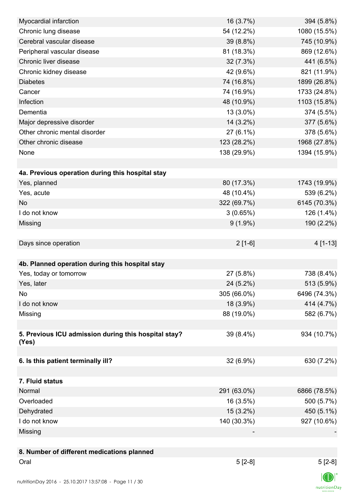| Myocardial infarction                                | 16 (3.7%)   | 394 (5.8%)     |
|------------------------------------------------------|-------------|----------------|
| Chronic lung disease                                 | 54 (12.2%)  | 1080 (15.5%)   |
| Cerebral vascular disease                            | 39 (8.8%)   | 745 (10.9%)    |
| Peripheral vascular disease                          | 81 (18.3%)  | 869 (12.6%)    |
| Chronic liver disease                                | 32 (7.3%)   | 441 (6.5%)     |
| Chronic kidney disease                               | 42 (9.6%)   | 821 (11.9%)    |
| <b>Diabetes</b>                                      | 74 (16.8%)  | 1899 (26.8%)   |
| Cancer                                               | 74 (16.9%)  | 1733 (24.8%)   |
| Infection                                            | 48 (10.9%)  | 1103 (15.8%)   |
| Dementia                                             | 13 (3.0%)   | 374 (5.5%)     |
| Major depressive disorder                            | 14 (3.2%)   | 377 (5.6%)     |
| Other chronic mental disorder                        | $27(6.1\%)$ | 378 (5.6%)     |
| Other chronic disease                                | 123 (28.2%) | 1968 (27.8%)   |
| None                                                 | 138 (29.9%) | 1394 (15.9%)   |
|                                                      |             |                |
| 4a. Previous operation during this hospital stay     |             |                |
| Yes, planned                                         | 80 (17.3%)  | 1743 (19.9%)   |
| Yes, acute                                           | 48 (10.4%)  | 539 (6.2%)     |
| <b>No</b>                                            | 322 (69.7%) | 6145 (70.3%)   |
| I do not know                                        | 3(0.65%)    | 126 (1.4%)     |
| Missing                                              | $9(1.9\%)$  | 190 (2.2%)     |
|                                                      |             |                |
| Days since operation                                 | $2[1-6]$    | 4 [1-13]       |
|                                                      |             |                |
| 4b. Planned operation during this hospital stay      |             |                |
| Yes, today or tomorrow                               | 27 (5.8%)   | 738 (8.4%)     |
| Yes, later                                           | 24 (5.2%)   | 513 (5.9%)     |
| No                                                   | 305 (66.0%) | 6496 (74.3%)   |
| I do not know                                        | 18 (3.9%)   | 414 (4.7%)     |
| Missing                                              | 88 (19.0%)  | 582 (6.7%)     |
|                                                      |             |                |
| 5. Previous ICU admission during this hospital stay? | 39 (8.4%)   | 934 (10.7%)    |
| (Yes)                                                |             |                |
|                                                      |             |                |
| 6. Is this patient terminally ill?                   | 32 (6.9%)   | 630 (7.2%)     |
|                                                      |             |                |
| 7. Fluid status                                      |             |                |
| Normal                                               | 291 (63.0%) | 6866 (78.5%)   |
| Overloaded                                           | 16 (3.5%)   | 500 (5.7%)     |
| Dehydrated                                           | 15 (3.2%)   | 450 (5.1%)     |
| I do not know                                        | 140 (30.3%) | 927 (10.6%)    |
| Missing                                              |             |                |
|                                                      |             |                |
| 8. Number of different medications planned           |             |                |
| Oral                                                 | $5[2-8]$    | $5[2-8]$       |
|                                                      |             | $\blacksquare$ |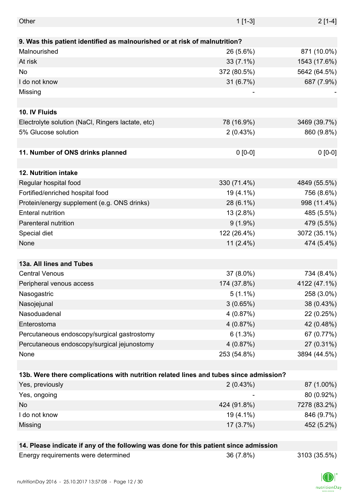| Other                                                                                 | $1[1-3]$     | $2[1-4]$     |
|---------------------------------------------------------------------------------------|--------------|--------------|
|                                                                                       |              |              |
| 9. Was this patient identified as malnourished or at risk of malnutrition?            |              |              |
| Malnourished                                                                          | 26 (5.6%)    | 871 (10.0%)  |
| At risk                                                                               | $33(7.1\%)$  | 1543 (17.6%) |
| No                                                                                    | 372 (80.5%)  | 5642 (64.5%) |
| I do not know                                                                         | 31 (6.7%)    | 687 (7.9%)   |
| Missing                                                                               |              |              |
|                                                                                       |              |              |
| 10. IV Fluids                                                                         |              |              |
| Electrolyte solution (NaCl, Ringers lactate, etc)                                     | 78 (16.9%)   | 3469 (39.7%) |
| 5% Glucose solution                                                                   | 2(0.43%)     | 860 (9.8%)   |
|                                                                                       |              |              |
| 11. Number of ONS drinks planned                                                      | $0 [0-0]$    | $0 [0-0]$    |
|                                                                                       |              |              |
| 12. Nutrition intake                                                                  |              |              |
| Regular hospital food                                                                 | 330 (71.4%)  | 4849 (55.5%) |
| Fortified/enriched hospital food                                                      | 19 (4.1%)    | 756 (8.6%)   |
| Protein/energy supplement (e.g. ONS drinks)                                           | 28 (6.1%)    | 998 (11.4%)  |
| <b>Enteral nutrition</b>                                                              | 13(2.8%)     | 485 (5.5%)   |
| Parenteral nutrition                                                                  | $9(1.9\%)$   | 479 (5.5%)   |
| Special diet                                                                          | 122 (26.4%)  | 3072 (35.1%) |
| None                                                                                  | 11 $(2.4\%)$ | 474 (5.4%)   |
|                                                                                       |              |              |
| 13a. All lines and Tubes                                                              |              |              |
| <b>Central Venous</b>                                                                 | 37 (8.0%)    | 734 (8.4%)   |
| Peripheral venous access                                                              | 174 (37.8%)  | 4122 (47.1%) |
| Nasogastric                                                                           | $5(1.1\%)$   | 258 (3.0%)   |
| Nasojejunal                                                                           | 3(0.65%)     | 38 (0.43%)   |
| Nasoduadenal                                                                          | 4(0.87%)     | 22 (0.25%)   |
| Enterostoma                                                                           | 4(0.87%)     | 42 (0.48%)   |
| Percutaneous endoscopy/surgical gastrostomy                                           | $6(1.3\%)$   | 67 (0.77%)   |
| Percutaneous endoscopy/surgical jejunostomy                                           | 4(0.87%)     | 27 (0.31%)   |
| None                                                                                  | 253 (54.8%)  | 3894 (44.5%) |
|                                                                                       |              |              |
| 13b. Were there complications with nutrition related lines and tubes since admission? |              |              |
| Yes, previously                                                                       | 2(0.43%)     | 87 (1.00%)   |
| Yes, ongoing                                                                          |              | 80 (0.92%)   |
| No                                                                                    | 424 (91.8%)  | 7278 (83.2%) |
| I do not know                                                                         | 19 (4.1%)    | 846 (9.7%)   |
| Missing                                                                               | 17(3.7%)     | 452 (5.2%)   |
|                                                                                       |              |              |
| 14. Please indicate if any of the following was done for this patient since admission |              |              |
|                                                                                       |              |              |

| Energy requirements were determine |  |
|------------------------------------|--|
|------------------------------------|--|

ed 36 (7.8%) 36 (7.8%) 3103 (35.5%)

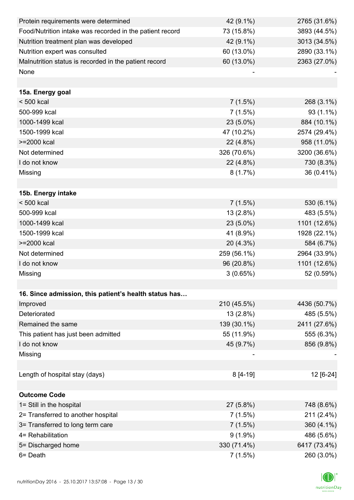| Protein requirements were determined                     | 42 (9.1%)   | 2765 (31.6%) |
|----------------------------------------------------------|-------------|--------------|
| Food/Nutrition intake was recorded in the patient record | 73 (15.8%)  | 3893 (44.5%) |
| Nutrition treatment plan was developed                   | 42 (9.1%)   | 3013 (34.5%) |
| Nutrition expert was consulted                           | 60 (13.0%)  | 2890 (33.1%) |
| Malnutrition status is recorded in the patient record    | 60 (13.0%)  | 2363 (27.0%) |
| None                                                     |             |              |
|                                                          |             |              |
| 15a. Energy goal                                         |             |              |
| $< 500$ kcal                                             | 7(1.5%)     | 268 (3.1%)   |
| 500-999 kcal                                             | 7(1.5%)     | 93 (1.1%)    |
| 1000-1499 kcal                                           | 23 (5.0%)   | 884 (10.1%)  |
| 1500-1999 kcal                                           | 47 (10.2%)  | 2574 (29.4%) |
| >=2000 kcal                                              | 22 (4.8%)   | 958 (11.0%)  |
| Not determined                                           | 326 (70.6%) | 3200 (36.6%) |
| I do not know                                            | 22 (4.8%)   | 730 (8.3%)   |
| Missing                                                  | 8(1.7%)     | 36 (0.41%)   |
|                                                          |             |              |
| 15b. Energy intake                                       |             |              |
| $< 500$ kcal                                             | 7(1.5%)     | 530 (6.1%)   |
| 500-999 kcal                                             | 13 (2.8%)   | 483 (5.5%)   |
| 1000-1499 kcal                                           | 23 (5.0%)   | 1101 (12.6%) |
| 1500-1999 kcal                                           | 41 (8.9%)   | 1928 (22.1%) |
| >=2000 kcal                                              | 20 (4.3%)   | 584 (6.7%)   |
| Not determined                                           | 259 (56.1%) | 2964 (33.9%) |
| I do not know                                            | 96 (20.8%)  | 1101 (12.6%) |
| Missing                                                  | 3(0.65%)    | 52 (0.59%)   |
|                                                          |             |              |
| 16. Since admission, this patient's health status has    |             |              |
| Improved                                                 | 210 (45.5%) | 4436 (50.7%) |
| Deteriorated                                             | 13 (2.8%)   | 485 (5.5%)   |
| Remained the same                                        | 139 (30.1%) | 2411 (27.6%) |
| This patient has just been admitted                      | 55 (11.9%)  | 555 (6.3%)   |
| I do not know                                            | 45 (9.7%)   | 856 (9.8%)   |
| Missing                                                  |             |              |
|                                                          |             |              |
| Length of hospital stay (days)                           | 8 [4-19]    | 12 [6-24]    |
|                                                          |             |              |
| <b>Outcome Code</b>                                      |             |              |
| 1= Still in the hospital                                 | 27 (5.8%)   | 748 (8.6%)   |
| 2= Transferred to another hospital                       | 7(1.5%)     | 211 (2.4%)   |
| 3= Transferred to long term care                         | 7(1.5%)     | 360 (4.1%)   |
| 4= Rehabilitation                                        | $9(1.9\%)$  | 486 (5.6%)   |
| 5= Discharged home                                       | 330 (71.4%) | 6417 (73.4%) |
| 6= Death                                                 | 7(1.5%)     | 260 (3.0%)   |

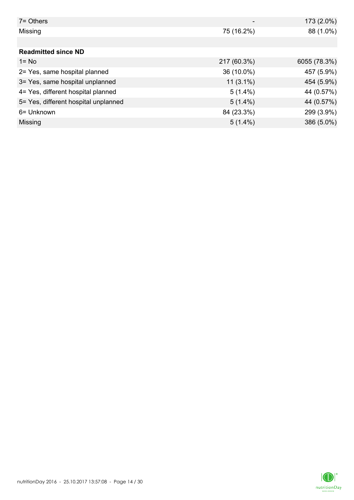| $7 =$ Others                         |             | 173 (2.0%)   |
|--------------------------------------|-------------|--------------|
| Missing                              | 75 (16.2%)  | 88 (1.0%)    |
|                                      |             |              |
| <b>Readmitted since ND</b>           |             |              |
| $1 = No$                             | 217 (60.3%) | 6055 (78.3%) |
| 2= Yes, same hospital planned        | 36 (10.0%)  | 457 (5.9%)   |
| 3= Yes, same hospital unplanned      | $11(3.1\%)$ | 454 (5.9%)   |
| 4= Yes, different hospital planned   | $5(1.4\%)$  | 44 (0.57%)   |
| 5= Yes, different hospital unplanned | $5(1.4\%)$  | 44 (0.57%)   |
| 6= Unknown                           | 84 (23.3%)  | 299 (3.9%)   |
| Missing                              | $5(1.4\%)$  | 386 (5.0%)   |

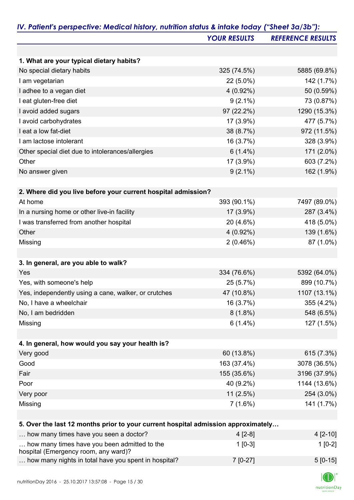|                                                                                      | <b>YOUR RESULTS</b> | <b>REFERENCE RESULTS</b> |
|--------------------------------------------------------------------------------------|---------------------|--------------------------|
|                                                                                      |                     |                          |
| 1. What are your typical dietary habits?                                             |                     |                          |
| No special dietary habits                                                            | 325 (74.5%)         | 5885 (69.8%)             |
| I am vegetarian                                                                      | $22(5.0\%)$         | 142 (1.7%)               |
| I adhee to a vegan diet                                                              | $4(0.92\%)$         | 50 (0.59%)               |
| I eat gluten-free diet                                                               | $9(2.1\%)$          | 73 (0.87%)               |
| I avoid added sugars                                                                 | 97 (22.2%)          | 1290 (15.3%)             |
| I avoid carbohydrates                                                                | 17 (3.9%)           | 477 (5.7%)               |
| I eat a low fat-diet                                                                 | 38 (8.7%)           | 972 (11.5%)              |
| I am lactose intolerant                                                              | 16 (3.7%)           | 328 (3.9%)               |
| Other special diet due to intolerances/allergies                                     | $6(1.4\%)$          | 171 (2.0%)               |
| Other                                                                                | 17 (3.9%)           | 603 (7.2%)               |
| No answer given                                                                      | $9(2.1\%)$          | 162 (1.9%)               |
| 2. Where did you live before your current hospital admission?                        |                     |                          |
| At home                                                                              | 393 (90.1%)         | 7497 (89.0%)             |
| In a nursing home or other live-in facility                                          | 17 (3.9%)           | 287 (3.4%)               |
| I was transferred from another hospital                                              | 20 (4.6%)           | 418 (5.0%)               |
| Other                                                                                | $4(0.92\%)$         | 139 (1.6%)               |
| Missing                                                                              | 2(0.46%)            | 87 (1.0%)                |
|                                                                                      |                     |                          |
| 3. In general, are you able to walk?                                                 |                     |                          |
| Yes                                                                                  | 334 (76.6%)         | 5392 (64.0%)             |
| Yes, with someone's help                                                             | 25 (5.7%)           | 899 (10.7%)              |
| Yes, independently using a cane, walker, or crutches                                 | 47 (10.8%)          | 1107 (13.1%)             |
| No, I have a wheelchair                                                              | 16 (3.7%)           | 355 (4.2%)               |
| No, I am bedridden                                                                   | $8(1.8\%)$          | 548 (6.5%)               |
| Missing                                                                              | $6(1.4\%)$          | 127 (1.5%)               |
| 4. In general, how would you say your health is?                                     |                     |                          |
| Very good                                                                            | 60 (13.8%)          | 615 (7.3%)               |
| Good                                                                                 | 163 (37.4%)         | 3078 (36.5%)             |
| Fair                                                                                 | 155 (35.6%)         | 3196 (37.9%)             |
| Poor                                                                                 | 40 (9.2%)           | 1144 (13.6%)             |
| Very poor                                                                            | 11(2.5%)            | 254 (3.0%)               |
| Missing                                                                              | $7(1.6\%)$          | 141 (1.7%)               |
|                                                                                      |                     |                          |
| 5. Over the last 12 months prior to your current hospital admission approximately    |                     |                          |
| how many times have you seen a doctor?                                               | $4[2-8]$            | $4[2-10]$                |
| how many times have you been admitted to the<br>hospital (Emergency room, any ward)? | $1[0-3]$            | $1[0-2]$                 |

| how many nights in total have you spent in hospital? | $7$ [0-27] | $5 [0-15]$ |
|------------------------------------------------------|------------|------------|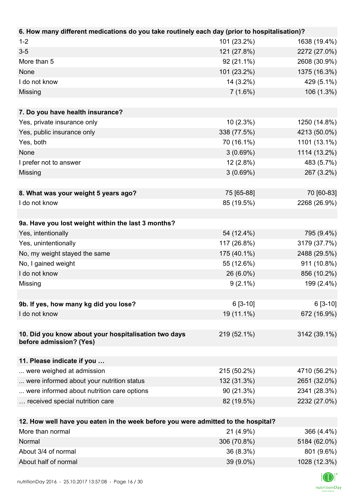| 6. How many different medications do you take routinely each day (prior to hospitalisation)? |             |              |
|----------------------------------------------------------------------------------------------|-------------|--------------|
| $1 - 2$                                                                                      | 101 (23.2%) | 1638 (19.4%) |
| $3-5$                                                                                        | 121 (27.8%) | 2272 (27.0%) |
| More than 5                                                                                  | 92 (21.1%)  | 2608 (30.9%) |
| None                                                                                         | 101 (23.2%) | 1375 (16.3%) |
| I do not know                                                                                | 14 (3.2%)   | 429 (5.1%)   |
| Missing                                                                                      | 7(1.6%)     | 106 (1.3%)   |
|                                                                                              |             |              |
| 7. Do you have health insurance?                                                             |             |              |
| Yes, private insurance only                                                                  | 10(2.3%)    | 1250 (14.8%) |
| Yes, public insurance only                                                                   | 338 (77.5%) | 4213 (50.0%) |
| Yes, both                                                                                    | 70 (16.1%)  | 1101 (13.1%) |
| None                                                                                         | 3(0.69%)    | 1114 (13.2%) |
| I prefer not to answer                                                                       | $12(2.8\%)$ | 483 (5.7%)   |
| Missing                                                                                      | 3(0.69%)    | 267 (3.2%)   |
|                                                                                              |             |              |
| 8. What was your weight 5 years ago?                                                         | 75 [65-88]  | 70 [60-83]   |
| I do not know                                                                                | 85 (19.5%)  | 2268 (26.9%) |
|                                                                                              |             |              |
| 9a. Have you lost weight within the last 3 months?                                           |             |              |
| Yes, intentionally                                                                           | 54 (12.4%)  | 795 (9.4%)   |
| Yes, unintentionally                                                                         | 117 (26.8%) | 3179 (37.7%) |
| No, my weight stayed the same                                                                | 175 (40.1%) | 2488 (29.5%) |
| No, I gained weight                                                                          | 55 (12.6%)  | 911 (10.8%)  |
| I do not know                                                                                | 26 (6.0%)   | 856 (10.2%)  |
| Missing                                                                                      | $9(2.1\%)$  | 199 (2.4%)   |
|                                                                                              |             |              |
| 9b. If yes, how many kg did you lose?                                                        | $6[3-10]$   | $6[3-10]$    |
| I do not know                                                                                | 19 (11.1%)  | 672 (16.9%)  |
|                                                                                              |             |              |
| 10. Did you know about your hospitalisation two days                                         | 219 (52.1%) | 3142 (39.1%) |
| before admission? (Yes)                                                                      |             |              |
|                                                                                              |             |              |
| 11. Please indicate if you                                                                   |             |              |
| were weighed at admission                                                                    | 215 (50.2%) | 4710 (56.2%) |
| were informed about your nutrition status                                                    | 132 (31.3%) | 2651 (32.0%) |
| were informed about nutrition care options                                                   | 90 (21.3%)  | 2341 (28.3%) |
| received special nutrition care                                                              | 82 (19.5%)  | 2232 (27.0%) |
|                                                                                              |             |              |
| 12. How well have you eaten in the week before you were admitted to the hospital?            |             |              |
| More than normal                                                                             | 21 (4.9%)   | 366 (4.4%)   |
| Normal                                                                                       | 306 (70.8%) | 5184 (62.0%) |
| About 3/4 of normal                                                                          | 36 (8.3%)   | 801 (9.6%)   |

About half of normal 39 (9.0%) 1028 (12.3%)

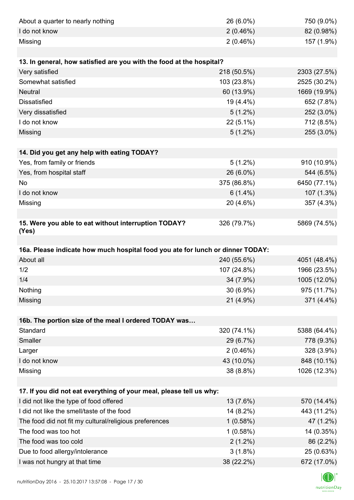| About a quarter to nearly nothing                                              | 26 (6.0%)   | 750 (9.0%)   |
|--------------------------------------------------------------------------------|-------------|--------------|
| I do not know                                                                  | 2(0.46%)    | 82 (0.98%)   |
| Missing                                                                        | 2(0.46%)    | 157 (1.9%)   |
|                                                                                |             |              |
| 13. In general, how satisfied are you with the food at the hospital?           |             |              |
| Very satisfied                                                                 | 218 (50.5%) | 2303 (27.5%) |
| Somewhat satisfied                                                             | 103 (23.8%) | 2525 (30.2%) |
| <b>Neutral</b>                                                                 | 60 (13.9%)  | 1669 (19.9%) |
| <b>Dissatisfied</b>                                                            | 19 (4.4%)   | 652 (7.8%)   |
| Very dissatisfied                                                              | $5(1.2\%)$  | 252 (3.0%)   |
| I do not know                                                                  | 22 (5.1%)   | 712 (8.5%)   |
| Missing                                                                        | $5(1.2\%)$  | 255 (3.0%)   |
|                                                                                |             |              |
| 14. Did you get any help with eating TODAY?                                    |             |              |
| Yes, from family or friends                                                    | $5(1.2\%)$  | 910 (10.9%)  |
| Yes, from hospital staff                                                       | 26 (6.0%)   | 544 (6.5%)   |
| <b>No</b>                                                                      | 375 (86.8%) | 6450 (77.1%) |
| I do not know                                                                  | $6(1.4\%)$  | 107 (1.3%)   |
| Missing                                                                        | 20 (4.6%)   | 357 (4.3%)   |
|                                                                                |             |              |
| 15. Were you able to eat without interruption TODAY?<br>(Yes)                  | 326 (79.7%) | 5869 (74.5%) |
|                                                                                |             |              |
|                                                                                |             |              |
| 16a. Please indicate how much hospital food you ate for lunch or dinner TODAY: |             |              |
| About all                                                                      | 240 (55.6%) | 4051 (48.4%) |
| 1/2                                                                            | 107 (24.8%) | 1966 (23.5%) |
| 1/4                                                                            | 34 (7.9%)   |              |
| Nothing                                                                        | 30 (6.9%)   | 975 (11.7%)  |
| Missing                                                                        | 21 (4.9%)   | 371 (4.4%)   |
|                                                                                |             | 1005 (12.0%) |
| 16b. The portion size of the meal I ordered TODAY was                          |             |              |
| Standard                                                                       | 320 (74.1%) | 5388 (64.4%) |
| Smaller                                                                        | 29 (6.7%)   | 778 (9.3%)   |
| Larger                                                                         | $2(0.46\%)$ | 328 (3.9%)   |
| I do not know                                                                  | 43 (10.0%)  | 848 (10.1%)  |
| Missing                                                                        | 38 (8.8%)   | 1026 (12.3%) |
|                                                                                |             |              |
| 17. If you did not eat everything of your meal, please tell us why:            |             |              |
| I did not like the type of food offered                                        | 13 (7.6%)   | 570 (14.4%)  |
| I did not like the smell/taste of the food                                     | 14 (8.2%)   | 443 (11.2%)  |
| The food did not fit my cultural/religious preferences                         | 1(0.58%)    | 47 (1.2%)    |
| The food was too hot                                                           | 1(0.58%)    | 14 (0.35%)   |
| The food was too cold                                                          | $2(1.2\%)$  | 86 (2.2%)    |
| Due to food allergy/intolerance                                                | $3(1.8\%)$  | 25 (0.63%)   |

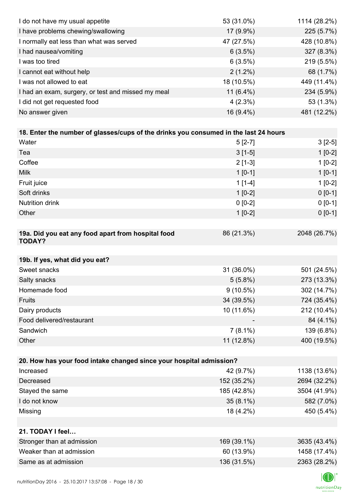| I do not have my usual appetite                                                      | 53 (31.0%)   | 1114 (28.2%) |
|--------------------------------------------------------------------------------------|--------------|--------------|
| I have problems chewing/swallowing                                                   | 17 (9.9%)    | 225 (5.7%)   |
| I normally eat less than what was served                                             | 47 (27.5%)   | 428 (10.8%)  |
| I had nausea/vomiting                                                                | 6(3.5%)      | 327 (8.3%)   |
| I was too tired                                                                      | 6(3.5%)      | 219 (5.5%)   |
| I cannot eat without help                                                            | $2(1.2\%)$   | 68 (1.7%)    |
| I was not allowed to eat                                                             | 18 (10.5%)   | 449 (11.4%)  |
| I had an exam, surgery, or test and missed my meal                                   | 11 $(6.4\%)$ | 234 (5.9%)   |
| I did not get requested food                                                         | $4(2.3\%)$   | 53 (1.3%)    |
| No answer given                                                                      | 16 (9.4%)    | 481 (12.2%)  |
|                                                                                      |              |              |
| 18. Enter the number of glasses/cups of the drinks you consumed in the last 24 hours |              |              |
| Water                                                                                | $5[2-7]$     | $3[2-5]$     |
| Tea                                                                                  | $3[1-5]$     | $1[0-2]$     |
| Coffee                                                                               | $2[1-3]$     | $1[0-2]$     |
| <b>Milk</b>                                                                          | $1 [0-1]$    | $1[0-1]$     |
| Fruit juice                                                                          | $1[1-4]$     | $1[0-2]$     |
| Soft drinks                                                                          | $1[0-2]$     | $0[0-1]$     |
| <b>Nutrition drink</b>                                                               | $0 [0-2]$    | $0 [0-1]$    |
| Other                                                                                | $1[0-2]$     | $0 [0-1]$    |
|                                                                                      |              |              |
| 19a. Did you eat any food apart from hospital food<br><b>TODAY?</b>                  | 86 (21.3%)   | 2048 (26.7%) |
| 19b. If yes, what did you eat?                                                       |              |              |
| Sweet snacks                                                                         | 31 (36.0%)   | 501 (24.5%)  |
| Salty snacks                                                                         | 5(5.8%)      | 273 (13.3%)  |
| Homemade food                                                                        | $9(10.5\%)$  | 302 (14.7%)  |
| Fruits                                                                               | 34 (39.5%)   | 724 (35.4%)  |
| Dairy products                                                                       | 10 (11.6%)   | 212 (10.4%)  |
| Food delivered/restaurant                                                            |              | 84 (4.1%)    |
| Sandwich                                                                             | $7(8.1\%)$   | 139 (6.8%)   |
| Other                                                                                | 11 (12.8%)   | 400 (19.5%)  |
|                                                                                      |              |              |
| 20. How has your food intake changed since your hospital admission?                  |              |              |
| Increased                                                                            | 42 (9.7%)    | 1138 (13.6%) |
| Decreased                                                                            | 152 (35.2%)  | 2694 (32.2%) |
| Stayed the same                                                                      | 185 (42.8%)  | 3504 (41.9%) |
| I do not know                                                                        | $35(8.1\%)$  | 582 (7.0%)   |
| Missing                                                                              | 18 (4.2%)    | 450 (5.4%)   |
|                                                                                      |              |              |
| 21. TODAY I feel                                                                     |              |              |
| Stronger than at admission                                                           | 169 (39.1%)  | 3635 (43.4%) |
| Weaker than at admission                                                             | 60 (13.9%)   | 1458 (17.4%) |
| Same as at admission                                                                 | 136 (31.5%)  | 2363 (28.2%) |
|                                                                                      |              |              |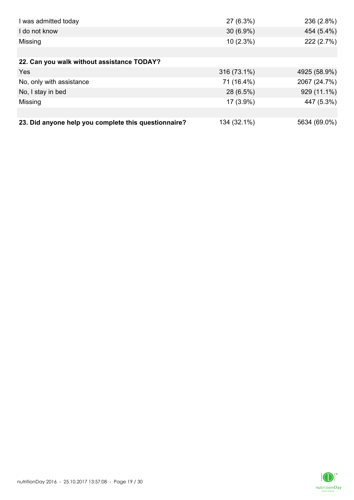| I was admitted today                                 | 27 (6.3%)   | 236 (2.8%)   |
|------------------------------------------------------|-------------|--------------|
| I do not know                                        | $30(6.9\%)$ | 454 (5.4%)   |
| Missing                                              | $10(2.3\%)$ | 222 (2.7%)   |
|                                                      |             |              |
| 22. Can you walk without assistance TODAY?           |             |              |
| <b>Yes</b>                                           | 316 (73.1%) | 4925 (58.9%) |
| No, only with assistance                             | 71 (16.4%)  | 2067 (24.7%) |
| No, I stay in bed                                    | 28 (6.5%)   | 929 (11.1%)  |
| Missing                                              | 17 (3.9%)   | 447 (5.3%)   |
|                                                      |             |              |
| 23. Did anyone help you complete this questionnaire? | 134 (32.1%) | 5634 (69.0%) |

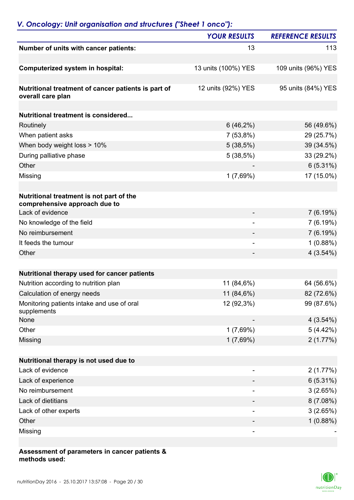# *V. Oncology: Unit organisation and structures ("Sheet 1 onco"):*

|                                                                           | <b>YOUR RESULTS</b> | <b>REFERENCE RESULTS</b> |
|---------------------------------------------------------------------------|---------------------|--------------------------|
| Number of units with cancer patients:                                     | 13                  | 113                      |
|                                                                           |                     |                          |
| <b>Computerized system in hospital:</b>                                   | 13 units (100%) YES | 109 units (96%) YES      |
|                                                                           |                     |                          |
| Nutritional treatment of cancer patients is part of<br>overall care plan  | 12 units (92%) YES  | 95 units (84%) YES       |
| <b>Nutritional treatment is considered</b>                                |                     |                          |
| Routinely                                                                 | $6(46,2\%)$         | 56 (49.6%)               |
| When patient asks                                                         | 7(53,8%)            | 29 (25.7%)               |
| When body weight loss > 10%                                               | 5(38,5%)            | 39 (34.5%)               |
| During palliative phase                                                   | 5(38,5%)            | 33 (29.2%)               |
| Other                                                                     |                     | 6(5.31%)                 |
| Missing                                                                   | 1(7,69%)            | 17 (15.0%)               |
|                                                                           |                     |                          |
| Nutritional treatment is not part of the<br>comprehensive approach due to |                     |                          |
| Lack of evidence                                                          |                     | 7(6.19%)                 |
| No knowledge of the field                                                 |                     | 7(6.19%)                 |
| No reimbursement                                                          |                     | 7(6.19%)                 |
| It feeds the tumour                                                       | ۰                   | 1(0.88%)                 |
| Other                                                                     |                     | 4(3.54%)                 |
|                                                                           |                     |                          |
| Nutritional therapy used for cancer patients                              |                     |                          |
| Nutrition according to nutrition plan                                     | 11 (84,6%)          | 64 (56.6%)               |
| Calculation of energy needs                                               | 11 (84,6%)          | 82 (72.6%)               |
| Monitoring patients intake and use of oral<br>supplements                 | 12 (92,3%)          | 99 (87.6%)               |
| <b>None</b>                                                               |                     | 4(3.54%)                 |
| Other                                                                     | 1(7,69%)            | 5(4.42%)                 |
| Missing                                                                   | 1(7,69%)            | 2(1.77%)                 |
|                                                                           |                     |                          |
| Nutritional therapy is not used due to                                    |                     |                          |
| Lack of evidence                                                          | -                   | 2(1.77%)                 |
| Lack of experience                                                        |                     | 6(5.31%)                 |
| No reimbursement                                                          |                     | 3(2.65%)                 |
| Lack of dietitians                                                        |                     | 8(7.08%)                 |
| Lack of other experts                                                     |                     | 3(2.65%)                 |
| Other                                                                     |                     | 1(0.88%)                 |
| Missing                                                                   | -                   |                          |

### **Assessment of parameters in cancer patients & methods used:**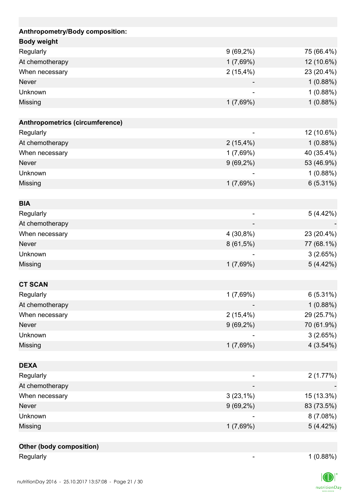| Anthropometry/Body composition: |             |            |
|---------------------------------|-------------|------------|
| <b>Body weight</b>              |             |            |
| Regularly                       | $9(69,2\%)$ | 75 (66.4%) |
| At chemotherapy                 | 1(7,69%)    | 12 (10.6%) |
| When necessary                  | 2(15,4%)    | 23 (20.4%) |
| <b>Never</b>                    |             | 1(0.88%)   |
| Unknown                         |             | 1(0.88%)   |
| Missing                         | 1(7,69%)    | 1(0.88%)   |
|                                 |             |            |
| Anthropometrics (circumference) |             |            |
| Regularly                       |             | 12 (10.6%) |
| At chemotherapy                 | 2(15,4%)    | 1(0.88%)   |
| When necessary                  | 1(7,69%)    | 40 (35.4%) |
| <b>Never</b>                    | $9(69,2\%)$ | 53 (46.9%) |
| Unknown                         |             | 1(0.88%)   |
| Missing                         | 1(7,69%)    | 6(5.31%)   |
|                                 |             |            |
| <b>BIA</b>                      |             |            |
| Regularly                       |             | 5 (4.42%)  |
| At chemotherapy                 |             |            |
| When necessary                  | $4(30,8\%)$ | 23 (20.4%) |
| <b>Never</b>                    | $8(61,5\%)$ | 77 (68.1%) |
| Unknown                         |             | 3(2.65%)   |
| Missing                         | 1(7,69%)    | 5(4.42%)   |
|                                 |             |            |
| <b>CT SCAN</b>                  |             |            |
| Regularly                       | 1(7,69%)    | 6(5.31%)   |
| At chemotherapy                 |             | 1(0.88%)   |
| When necessary                  | 2(15,4%)    | 29 (25.7%) |
| <b>Never</b>                    | $9(69,2\%)$ | 70 (61.9%) |
| Unknown                         |             | 3(2.65%)   |
| <b>Missing</b>                  | 1(7,69%)    | 4(3.54%)   |
|                                 |             |            |
| <b>DEXA</b>                     |             |            |
| Regularly                       |             | 2(1.77%)   |
| At chemotherapy                 |             |            |
| When necessary                  | $3(23,1\%)$ | 15 (13.3%) |
| <b>Never</b>                    | $9(69,2\%)$ | 83 (73.5%) |
| Unknown                         |             | 8(7.08%)   |
| Missing                         | 1(7,69%)    | 5(4.42%)   |
|                                 |             |            |
| Other (body composition)        |             |            |

Regularly 1 (0.88%)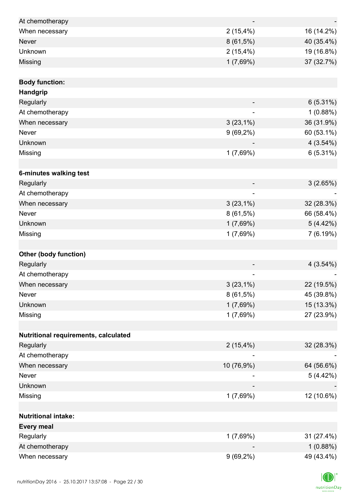| At chemotherapy                      |                          |             |
|--------------------------------------|--------------------------|-------------|
| When necessary                       | 2(15,4%)                 | 16 (14.2%)  |
| <b>Never</b>                         | $8(61,5\%)$              | 40 (35.4%)  |
| Unknown                              | $2(15,4\%)$              | 19 (16.8%)  |
| Missing                              | 1(7,69%)                 | 37 (32.7%)  |
|                                      |                          |             |
| <b>Body function:</b>                |                          |             |
| Handgrip                             |                          |             |
| Regularly                            |                          | 6(5.31%)    |
| At chemotherapy                      | $\overline{\phantom{0}}$ | 1(0.88%)    |
| When necessary                       | $3(23,1\%)$              | 36 (31.9%)  |
| Never                                | $9(69,2\%)$              | 60 (53.1%)  |
| Unknown                              |                          | 4(3.54%)    |
| Missing                              | 1(7,69%)                 | 6(5.31%)    |
|                                      |                          |             |
| 6-minutes walking test               |                          |             |
| Regularly                            |                          | 3(2.65%)    |
| At chemotherapy                      |                          |             |
| When necessary                       | $3(23,1\%)$              | 32 (28.3%)  |
| Never                                | $8(61,5\%)$              | 66 (58.4%)  |
| Unknown                              | 1(7,69%)                 | 5(4.42%)    |
| Missing                              | 1(7,69%)                 | 7(6.19%)    |
|                                      |                          |             |
| <b>Other (body function)</b>         |                          |             |
| Regularly                            |                          | $4(3.54\%)$ |
| At chemotherapy                      |                          |             |
| When necessary                       | $3(23,1\%)$              | 22 (19.5%)  |
| Never                                | $8(61,5\%)$              | 45 (39.8%)  |
| Unknown                              | 1(7,69%)                 | 15 (13.3%)  |
| Missing                              | 1(7,69%)                 | 27 (23.9%)  |
|                                      |                          |             |
| Nutritional requirements, calculated |                          |             |
| Regularly                            | $2(15,4\%)$              | 32 (28.3%)  |
| At chemotherapy                      |                          |             |
| When necessary                       | 10 (76,9%)               | 64 (56.6%)  |
| Never                                |                          | 5(4.42%)    |
| Unknown                              |                          |             |
| Missing                              | 1(7,69%)                 | 12 (10.6%)  |
|                                      |                          |             |
| <b>Nutritional intake:</b>           |                          |             |
| <b>Every meal</b>                    |                          |             |
| Regularly                            | 1(7,69%)                 | 31 (27.4%)  |
| At chemotherapy                      |                          | 1(0.88%)    |
| When necessary                       | $9(69,2\%)$              | 49 (43.4%)  |

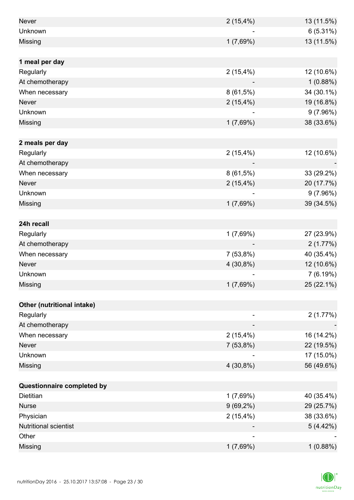| Never                        | $2(15,4\%)$ | 13 (11.5%) |
|------------------------------|-------------|------------|
| Unknown                      |             | 6(5.31%)   |
| Missing                      | 1(7,69%)    | 13 (11.5%) |
|                              |             |            |
| 1 meal per day               |             |            |
| Regularly                    | 2(15,4%)    | 12 (10.6%) |
| At chemotherapy              |             | 1(0.88%)   |
| When necessary               | 8(61,5%)    | 34 (30.1%) |
| <b>Never</b>                 | $2(15,4\%)$ | 19 (16.8%) |
| Unknown                      |             | 9(7.96%)   |
| Missing                      | 1(7,69%)    | 38 (33.6%) |
|                              |             |            |
| 2 meals per day              |             |            |
| Regularly                    | $2(15,4\%)$ | 12 (10.6%) |
| At chemotherapy              |             |            |
| When necessary               | $8(61,5\%)$ | 33 (29.2%) |
| <b>Never</b>                 | $2(15,4\%)$ | 20 (17.7%) |
| Unknown                      |             | 9(7.96%)   |
| Missing                      | 1(7,69%)    | 39 (34.5%) |
|                              |             |            |
| 24h recall                   |             |            |
| Regularly                    | $1(7,69\%)$ | 27 (23.9%) |
| At chemotherapy              |             | 2(1.77%)   |
| When necessary               | 7(53,8%)    | 40 (35.4%) |
| Never                        | 4 (30,8%)   | 12 (10.6%) |
| Unknown                      |             | 7(6.19%)   |
| Missing                      | 1(7,69%)    | 25 (22.1%) |
|                              |             |            |
| Other (nutritional intake)   |             |            |
| Regularly                    |             | 2(1.77%)   |
| At chemotherapy              |             |            |
| When necessary               | 2(15,4%)    | 16 (14.2%) |
| Never                        | 7(53,8%)    | 22 (19.5%) |
| Unknown                      |             | 17 (15.0%) |
| Missing                      | $4(30,8\%)$ | 56 (49.6%) |
|                              |             |            |
| Questionnaire completed by   |             |            |
| <b>Dietitian</b>             | 1(7,69%)    | 40 (35.4%) |
| <b>Nurse</b>                 | $9(69,2\%)$ | 29 (25.7%) |
| Physician                    | 2(15,4%)    | 38 (33.6%) |
| <b>Nutritional scientist</b> |             | 5(4.42%)   |
| Other                        |             |            |
| Missing                      | 1(7,69%)    | 1(0.88%)   |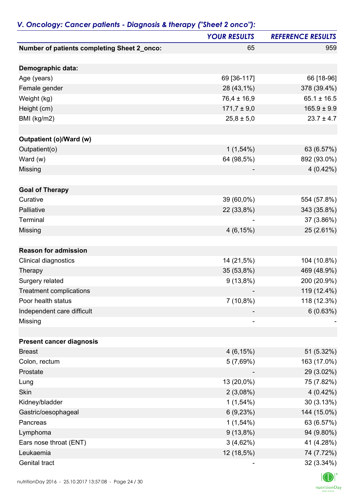|                                             | <b>YOUR RESULTS</b> | <b>REFERENCE RESULTS</b> |
|---------------------------------------------|---------------------|--------------------------|
| Number of patients completing Sheet 2_onco: | 65                  | 959                      |
| Demographic data:                           |                     |                          |
| Age (years)                                 | 69 [36-117]         | 66 [18-96]               |
| Female gender                               | 28 (43,1%)          | 378 (39.4%)              |
| Weight (kg)                                 | $76,4 \pm 16,9$     | $65.1 \pm 16.5$          |
| Height (cm)                                 | $171,7 \pm 9,0$     | $165.9 \pm 9.9$          |
| BMI (kg/m2)                                 | $25,8 \pm 5,0$      | $23.7 \pm 4.7$           |
| Outpatient (o)/Ward (w)                     |                     |                          |
| Outpatient(o)                               | $1(1,54\%)$         | 63 (6.57%)               |
| Ward (w)                                    | 64 (98,5%)          | 892 (93.0%)              |
| Missing                                     |                     | $4(0.42\%)$              |
|                                             |                     |                          |
| <b>Goal of Therapy</b><br>Curative          | 39 (60,0%)          | 554 (57.8%)              |
| Palliative                                  |                     | 343 (35.8%)              |
| Terminal                                    | 22 (33,8%)          |                          |
|                                             |                     | 37 (3.86%)               |
| Missing                                     | 4(6,15%)            | 25 (2.61%)               |
| <b>Reason for admission</b>                 |                     |                          |
| Clinical diagnostics                        | 14 (21,5%)          | 104 (10.8%)              |
| Therapy                                     | 35 (53,8%)          | 469 (48.9%)              |
| Surgery related                             | $9(13,8\%)$         | 200 (20.9%)              |
| <b>Treatment complications</b>              |                     | 119 (12.4%)              |
| Poor health status                          | $7(10,8\%)$         | 118 (12.3%)              |
| Independent care difficult                  |                     | 6(0.63%)                 |
| Missing                                     |                     |                          |
| <b>Present cancer diagnosis</b>             |                     |                          |
| <b>Breast</b>                               | 4(6,15%)            | 51 (5.32%)               |
| Colon, rectum                               | 5(7,69%)            | 163 (17.0%)              |
| Prostate                                    |                     | 29 (3.02%)               |
| Lung                                        | 13 (20,0%)          | 75 (7.82%)               |
| Skin                                        | 2(3,08%)            | $4(0.42\%)$              |
| Kidney/bladder                              | $1(1,54\%)$         | 30(3.13%)                |
| Gastric/oesophageal                         | 6(9,23%)            | 144 (15.0%)              |
| Pancreas                                    | $1(1,54\%)$         | 63 (6.57%)               |
| Lymphoma                                    | $9(13,8\%)$         | 94 (9.80%)               |
| Ears nose throat (ENT)                      | 3(4,62%)            | 41 (4.28%)               |
| Leukaemia                                   | 12 (18,5%)          | 74 (7.72%)               |
| Genital tract                               |                     | 32 (3.34%)               |

## *V. Oncology: Cancer patients - Diagnosis & therapy ("Sheet 2 onco"):*

 $\Box$  $\label{eq:2} \mathsf{nutritionDay}$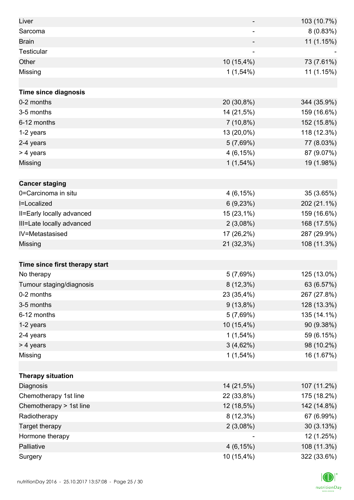| Liver                          |                          | 103 (10.7%) |
|--------------------------------|--------------------------|-------------|
| Sarcoma                        | $\overline{\phantom{a}}$ | 8(0.83%)    |
| <b>Brain</b>                   |                          | 11 (1.15%)  |
| Testicular                     |                          |             |
| Other                          | 10 (15,4%)               | 73 (7.61%)  |
| Missing                        | $1(1,54\%)$              | 11 (1.15%)  |
|                                |                          |             |
| <b>Time since diagnosis</b>    |                          |             |
| 0-2 months                     | 20 (30,8%)               | 344 (35.9%) |
| 3-5 months                     | 14 (21,5%)               | 159 (16.6%) |
| 6-12 months                    | $7(10,8\%)$              | 152 (15.8%) |
| 1-2 years                      | 13 (20,0%)               | 118 (12.3%) |
| 2-4 years                      | 5(7,69%)                 | 77 (8.03%)  |
| > 4 years                      | 4(6,15%)                 | 87 (9.07%)  |
| Missing                        | $1(1,54\%)$              | 19 (1.98%)  |
|                                |                          |             |
| <b>Cancer staging</b>          |                          |             |
| 0=Carcinoma in situ            | 4(6,15%)                 | 35 (3.65%)  |
| I=Localized                    | 6(9,23%)                 | 202 (21.1%) |
| II=Early locally advanced      | 15 (23,1%)               | 159 (16.6%) |
| III=Late locally advanced      | 2(3,08%)                 | 168 (17.5%) |
| IV=Metastasised                | 17 (26,2%)               | 287 (29.9%) |
| Missing                        | 21 (32,3%)               | 108 (11.3%) |
|                                |                          |             |
| Time since first therapy start |                          |             |
| No therapy                     | 5(7,69%)                 | 125 (13.0%) |
| Tumour staging/diagnosis       | $8(12,3\%)$              | 63 (6.57%)  |
| 0-2 months                     | 23 (35,4%)               | 267 (27.8%) |
| 3-5 months                     | $9(13,8\%)$              | 128 (13.3%) |
| 6-12 months                    | 5(7,69%)                 | 135 (14.1%) |
| 1-2 years                      | 10 (15,4%)               | 90 (9.38%)  |
| 2-4 years                      | $1(1,54\%)$              | 59 (6.15%)  |
| > 4 years                      | 3(4,62%)                 | 98 (10.2%)  |
| Missing                        | $1(1,54\%)$              | 16 (1.67%)  |
|                                |                          |             |
| <b>Therapy situation</b>       |                          |             |
| Diagnosis                      | 14 (21,5%)               | 107 (11.2%) |
| Chemotherapy 1st line          | 22 (33,8%)               | 175 (18.2%) |
| Chemotherapy > 1st line        | 12 (18,5%)               | 142 (14.8%) |
| Radiotherapy                   | $8(12,3\%)$              | 67 (6.99%)  |
| Target therapy                 | 2(3,08%)                 | 30 (3.13%)  |
| Hormone therapy                |                          | 12 (1.25%)  |
| Palliative                     | 4(6,15%)                 | 108 (11.3%) |
| Surgery                        | 10 (15,4%)               | 322 (33.6%) |

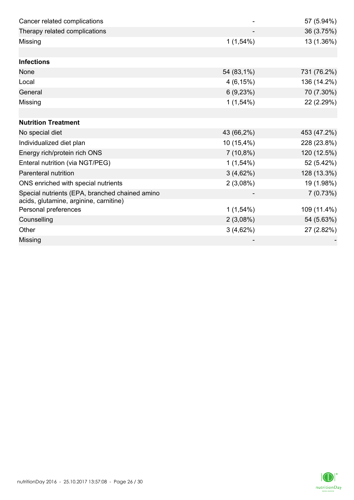| Cancer related complications                                   |              | 57 (5.94%)  |
|----------------------------------------------------------------|--------------|-------------|
| Therapy related complications                                  |              | 36 (3.75%)  |
| Missing                                                        | $1(1,54\%)$  | 13 (1.36%)  |
|                                                                |              |             |
| <b>Infections</b>                                              |              |             |
| <b>None</b>                                                    | 54 (83,1%)   | 731 (76.2%) |
| Local                                                          | $4(6, 15\%)$ | 136 (14.2%) |
| General                                                        | 6(9,23%)     | 70 (7.30%)  |
| Missing                                                        | $1(1,54\%)$  | 22 (2.29%)  |
|                                                                |              |             |
| <b>Nutrition Treatment</b>                                     |              |             |
| No special diet                                                | 43 (66,2%)   | 453 (47.2%) |
| Individualized diet plan                                       | 10 (15,4%)   | 228 (23.8%) |
| Energy rich/protein rich ONS                                   | $7(10,8\%)$  | 120 (12.5%) |
| Enteral nutrition (via NGT/PEG)                                | $1(1,54\%)$  | 52 (5.42%)  |
| Parenteral nutrition                                           | 3(4,62%)     | 128 (13.3%) |
| ONS enriched with special nutrients                            | 2(3,08%)     | 19 (1.98%)  |
| Special nutrients (EPA, branched chained amino                 |              | 7(0.73%)    |
| acids, glutamine, arginine, carnitine)<br>Personal preferences | $1(1,54\%)$  | 109 (11.4%) |
| Counselling                                                    | 2(3,08%)     | 54 (5.63%)  |
| Other                                                          | 3(4,62%)     | 27 (2.82%)  |
| Missing                                                        |              |             |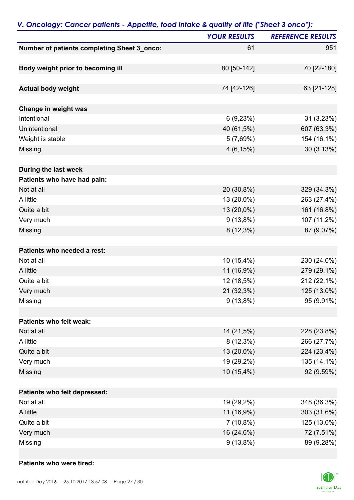|                                             | <b>YOUR RESULTS</b> | <b>REFERENCE RESULTS</b> |
|---------------------------------------------|---------------------|--------------------------|
| Number of patients completing Sheet 3_onco: | 61                  | 951                      |
|                                             |                     |                          |
| Body weight prior to becoming ill           | 80 [50-142]         | 70 [22-180]              |
|                                             |                     |                          |
| <b>Actual body weight</b>                   | 74 [42-126]         | 63 [21-128]              |
|                                             |                     |                          |
| Change in weight was                        |                     |                          |
| Intentional                                 | 6(9,23%)            | 31 (3.23%)               |
| Unintentional                               | 40 (61,5%)          | 607 (63.3%)              |
| Weight is stable                            | 5(7,69%)            | 154 (16.1%)              |
| Missing                                     | 4(6,15%)            | 30 (3.13%)               |
|                                             |                     |                          |
| During the last week                        |                     |                          |
| Patients who have had pain:                 |                     |                          |
| Not at all                                  | 20 (30,8%)          | 329 (34.3%)              |
| A little                                    | 13 (20,0%)          | 263 (27.4%)              |
| Quite a bit                                 | 13 (20,0%)          | 161 (16.8%)              |
| Very much                                   | $9(13,8\%)$         | 107 (11.2%)              |
| Missing                                     | $8(12,3\%)$         | 87 (9.07%)               |
| Patients who needed a rest:                 |                     |                          |
| Not at all                                  | 10 (15,4%)          | 230 (24.0%)              |
|                                             |                     |                          |
| A little                                    | 11 (16,9%)          | 279 (29.1%)              |
| Quite a bit                                 | 12 (18,5%)          | 212 (22.1%)              |
| Very much                                   | 21 (32,3%)          | 125 (13.0%)              |
| Missing                                     | $9(13,8\%)$         | 95 (9.91%)               |
| Patients who felt weak:                     |                     |                          |
| Not at all                                  | 14 (21,5%)          | 228 (23.8%)              |
| A little                                    | $8(12,3\%)$         | 266 (27.7%)              |
| Quite a bit                                 | 13 (20,0%)          | 224 (23.4%)              |
| Very much                                   | 19 (29,2%)          | 135 (14.1%)              |
| Missing                                     | $10(15,4\%)$        | 92 (9.59%)               |
|                                             |                     |                          |
| Patients who felt depressed:                |                     |                          |
| Not at all                                  | 19 (29,2%)          | 348 (36.3%)              |
| A little                                    | 11 (16,9%)          | 303 (31.6%)              |
| Quite a bit                                 | $7(10,8\%)$         | 125 (13.0%)              |
| Very much                                   | 16 (24,6%)          | 72 (7.51%)               |
| Missing                                     | $9(13,8\%)$         | 89 (9.28%)               |

## *V. Oncology: Cancer patients - Appetite, food intake & quality of life ("Sheet 3 onco"):*

### **Patients who were tired:**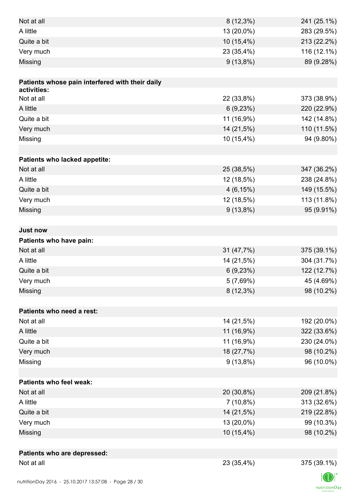| A little<br>13 (20,0%)<br>283 (29.5%)<br>Quite a bit<br>213 (22.2%)<br>10 (15,4%)<br>Very much<br>23 (35,4%)<br>116 (12.1%)<br>89 (9.28%)<br>Missing<br>$9(13,8\%)$<br>Patients whose pain interfered with their daily<br>activities:<br>22 (33,8%)<br>373 (38.9%)<br>Not at all<br>A little<br>6(9,23%)<br>220 (22.9%)<br>Quite a bit<br>11 (16,9%)<br>142 (14.8%)<br>Very much<br>14 (21,5%)<br>110 (11.5%)<br>94 (9.80%)<br>Missing<br>10 (15,4%)<br>Patients who lacked appetite:<br>Not at all<br>347 (36.2%)<br>25 (38,5%)<br>A little<br>12 (18,5%)<br>238 (24.8%)<br>Quite a bit<br>4(6,15%)<br>149 (15.5%)<br>Very much<br>12 (18,5%)<br>113 (11.8%)<br>95 (9.91%)<br>$9(13,8\%)$<br>Missing<br><b>Just now</b><br>Patients who have pain:<br>Not at all<br>31 (47,7%)<br>375 (39.1%)<br>A little<br>14 (21,5%)<br>304 (31.7%)<br>Quite a bit<br>122 (12.7%)<br>6(9,23%)<br>Very much<br>45 (4.69%)<br>5(7,69%) |
|--------------------------------------------------------------------------------------------------------------------------------------------------------------------------------------------------------------------------------------------------------------------------------------------------------------------------------------------------------------------------------------------------------------------------------------------------------------------------------------------------------------------------------------------------------------------------------------------------------------------------------------------------------------------------------------------------------------------------------------------------------------------------------------------------------------------------------------------------------------------------------------------------------------------------|
|                                                                                                                                                                                                                                                                                                                                                                                                                                                                                                                                                                                                                                                                                                                                                                                                                                                                                                                          |
|                                                                                                                                                                                                                                                                                                                                                                                                                                                                                                                                                                                                                                                                                                                                                                                                                                                                                                                          |
|                                                                                                                                                                                                                                                                                                                                                                                                                                                                                                                                                                                                                                                                                                                                                                                                                                                                                                                          |
|                                                                                                                                                                                                                                                                                                                                                                                                                                                                                                                                                                                                                                                                                                                                                                                                                                                                                                                          |
|                                                                                                                                                                                                                                                                                                                                                                                                                                                                                                                                                                                                                                                                                                                                                                                                                                                                                                                          |
|                                                                                                                                                                                                                                                                                                                                                                                                                                                                                                                                                                                                                                                                                                                                                                                                                                                                                                                          |
|                                                                                                                                                                                                                                                                                                                                                                                                                                                                                                                                                                                                                                                                                                                                                                                                                                                                                                                          |
|                                                                                                                                                                                                                                                                                                                                                                                                                                                                                                                                                                                                                                                                                                                                                                                                                                                                                                                          |
|                                                                                                                                                                                                                                                                                                                                                                                                                                                                                                                                                                                                                                                                                                                                                                                                                                                                                                                          |
|                                                                                                                                                                                                                                                                                                                                                                                                                                                                                                                                                                                                                                                                                                                                                                                                                                                                                                                          |
|                                                                                                                                                                                                                                                                                                                                                                                                                                                                                                                                                                                                                                                                                                                                                                                                                                                                                                                          |
|                                                                                                                                                                                                                                                                                                                                                                                                                                                                                                                                                                                                                                                                                                                                                                                                                                                                                                                          |
|                                                                                                                                                                                                                                                                                                                                                                                                                                                                                                                                                                                                                                                                                                                                                                                                                                                                                                                          |
|                                                                                                                                                                                                                                                                                                                                                                                                                                                                                                                                                                                                                                                                                                                                                                                                                                                                                                                          |
|                                                                                                                                                                                                                                                                                                                                                                                                                                                                                                                                                                                                                                                                                                                                                                                                                                                                                                                          |
|                                                                                                                                                                                                                                                                                                                                                                                                                                                                                                                                                                                                                                                                                                                                                                                                                                                                                                                          |
|                                                                                                                                                                                                                                                                                                                                                                                                                                                                                                                                                                                                                                                                                                                                                                                                                                                                                                                          |
|                                                                                                                                                                                                                                                                                                                                                                                                                                                                                                                                                                                                                                                                                                                                                                                                                                                                                                                          |
|                                                                                                                                                                                                                                                                                                                                                                                                                                                                                                                                                                                                                                                                                                                                                                                                                                                                                                                          |
|                                                                                                                                                                                                                                                                                                                                                                                                                                                                                                                                                                                                                                                                                                                                                                                                                                                                                                                          |
|                                                                                                                                                                                                                                                                                                                                                                                                                                                                                                                                                                                                                                                                                                                                                                                                                                                                                                                          |
|                                                                                                                                                                                                                                                                                                                                                                                                                                                                                                                                                                                                                                                                                                                                                                                                                                                                                                                          |
|                                                                                                                                                                                                                                                                                                                                                                                                                                                                                                                                                                                                                                                                                                                                                                                                                                                                                                                          |
|                                                                                                                                                                                                                                                                                                                                                                                                                                                                                                                                                                                                                                                                                                                                                                                                                                                                                                                          |
|                                                                                                                                                                                                                                                                                                                                                                                                                                                                                                                                                                                                                                                                                                                                                                                                                                                                                                                          |
|                                                                                                                                                                                                                                                                                                                                                                                                                                                                                                                                                                                                                                                                                                                                                                                                                                                                                                                          |
| 98 (10.2%)<br>$8(12,3\%)$<br>Missing                                                                                                                                                                                                                                                                                                                                                                                                                                                                                                                                                                                                                                                                                                                                                                                                                                                                                     |
|                                                                                                                                                                                                                                                                                                                                                                                                                                                                                                                                                                                                                                                                                                                                                                                                                                                                                                                          |
| Patients who need a rest:                                                                                                                                                                                                                                                                                                                                                                                                                                                                                                                                                                                                                                                                                                                                                                                                                                                                                                |
| 192 (20.0%)<br>Not at all<br>14 (21,5%)                                                                                                                                                                                                                                                                                                                                                                                                                                                                                                                                                                                                                                                                                                                                                                                                                                                                                  |
| A little<br>11 (16,9%)<br>322 (33.6%)                                                                                                                                                                                                                                                                                                                                                                                                                                                                                                                                                                                                                                                                                                                                                                                                                                                                                    |
| Quite a bit<br>11 (16,9%)<br>230 (24.0%)                                                                                                                                                                                                                                                                                                                                                                                                                                                                                                                                                                                                                                                                                                                                                                                                                                                                                 |
| Very much<br>98 (10.2%)<br>18 (27,7%)                                                                                                                                                                                                                                                                                                                                                                                                                                                                                                                                                                                                                                                                                                                                                                                                                                                                                    |
| $9(13,8\%)$<br>96 (10.0%)<br>Missing                                                                                                                                                                                                                                                                                                                                                                                                                                                                                                                                                                                                                                                                                                                                                                                                                                                                                     |
|                                                                                                                                                                                                                                                                                                                                                                                                                                                                                                                                                                                                                                                                                                                                                                                                                                                                                                                          |
| <b>Patients who feel weak:</b>                                                                                                                                                                                                                                                                                                                                                                                                                                                                                                                                                                                                                                                                                                                                                                                                                                                                                           |
| Not at all<br>20 (30,8%)<br>209 (21.8%)                                                                                                                                                                                                                                                                                                                                                                                                                                                                                                                                                                                                                                                                                                                                                                                                                                                                                  |
| A little<br>$7(10,8\%)$<br>313 (32.6%)                                                                                                                                                                                                                                                                                                                                                                                                                                                                                                                                                                                                                                                                                                                                                                                                                                                                                   |
| Quite a bit<br>14 (21,5%)<br>219 (22.8%)                                                                                                                                                                                                                                                                                                                                                                                                                                                                                                                                                                                                                                                                                                                                                                                                                                                                                 |
| Very much<br>13 (20,0%)<br>99 (10.3%)                                                                                                                                                                                                                                                                                                                                                                                                                                                                                                                                                                                                                                                                                                                                                                                                                                                                                    |
| 10 (15,4%)<br>98 (10.2%)<br>Missing                                                                                                                                                                                                                                                                                                                                                                                                                                                                                                                                                                                                                                                                                                                                                                                                                                                                                      |
|                                                                                                                                                                                                                                                                                                                                                                                                                                                                                                                                                                                                                                                                                                                                                                                                                                                                                                                          |
| Patients who are depressed:                                                                                                                                                                                                                                                                                                                                                                                                                                                                                                                                                                                                                                                                                                                                                                                                                                                                                              |
| Not at all<br>23 (35,4%)<br>375 (39.1%)                                                                                                                                                                                                                                                                                                                                                                                                                                                                                                                                                                                                                                                                                                                                                                                                                                                                                  |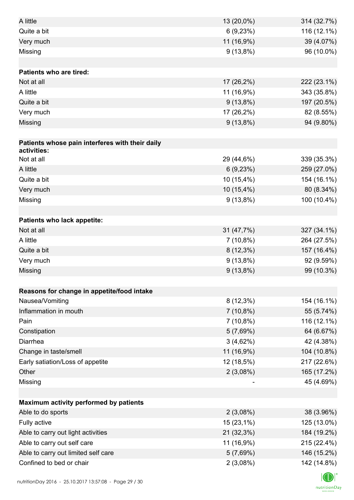| A little                                        | 13 (20,0%)  | 314 (32.7%) |
|-------------------------------------------------|-------------|-------------|
| Quite a bit                                     | 6(9,23%)    | 116 (12.1%) |
| Very much                                       | 11 (16,9%)  | 39 (4.07%)  |
| Missing                                         | $9(13,8\%)$ | 96 (10.0%)  |
|                                                 |             |             |
| <b>Patients who are tired:</b>                  |             |             |
| Not at all                                      | 17 (26,2%)  | 222 (23.1%) |
| A little                                        | 11 (16,9%)  | 343 (35.8%) |
| Quite a bit                                     | $9(13,8\%)$ | 197 (20.5%) |
| Very much                                       | 17 (26,2%)  | 82 (8.55%)  |
| Missing                                         | $9(13,8\%)$ | 94 (9.80%)  |
|                                                 |             |             |
| Patients whose pain interferes with their daily |             |             |
| activities:                                     |             |             |
| Not at all                                      | 29 (44,6%)  | 339 (35.3%) |
| A little                                        | 6(9,23%)    | 259 (27.0%) |
| Quite a bit                                     | 10 (15,4%)  | 154 (16.1%) |
| Very much                                       | 10 (15,4%)  | 80 (8.34%)  |
| Missing                                         | $9(13,8\%)$ | 100 (10.4%) |
|                                                 |             |             |
| Patients who lack appetite:                     |             |             |
| Not at all                                      | 31 (47,7%)  | 327 (34.1%) |
| A little                                        | $7(10,8\%)$ | 264 (27.5%) |
| Quite a bit                                     | $8(12,3\%)$ | 157 (16.4%) |
| Very much                                       | $9(13,8\%)$ | 92 (9.59%)  |
| Missing                                         | $9(13,8\%)$ | 99 (10.3%)  |
|                                                 |             |             |
| Reasons for change in appetite/food intake      |             |             |
| Nausea/Vomiting                                 | $8(12,3\%)$ | 154 (16.1%) |
| Inflammation in mouth                           | $7(10,8\%)$ | 55 (5.74%)  |
| Pain                                            | $7(10,8\%)$ | 116 (12.1%) |
| Constipation                                    | 5(7,69%)    | 64 (6.67%)  |
| Diarrhea                                        | 3(4,62%)    | 42 (4.38%)  |
| Change in taste/smell                           | 11 (16,9%)  | 104 (10.8%) |
| Early satiation/Loss of appetite                | 12 (18,5%)  | 217 (22.6%) |
| Other                                           | 2(3,08%)    | 165 (17.2%) |
| Missing                                         |             | 45 (4.69%)  |
|                                                 |             |             |
| Maximum activity performed by patients          |             |             |
| Able to do sports                               | 2(3,08%)    | 38 (3.96%)  |
| Fully active                                    | 15 (23,1%)  | 125 (13.0%) |
| Able to carry out light activities              | 21 (32,3%)  | 184 (19.2%) |
| Able to carry out self care                     | 11 (16,9%)  | 215 (22.4%) |
| Able to carry out limited self care             | 5(7,69%)    | 146 (15.2%) |
| Confined to bed or chair                        | 2(3,08%)    | 142 (14.8%) |